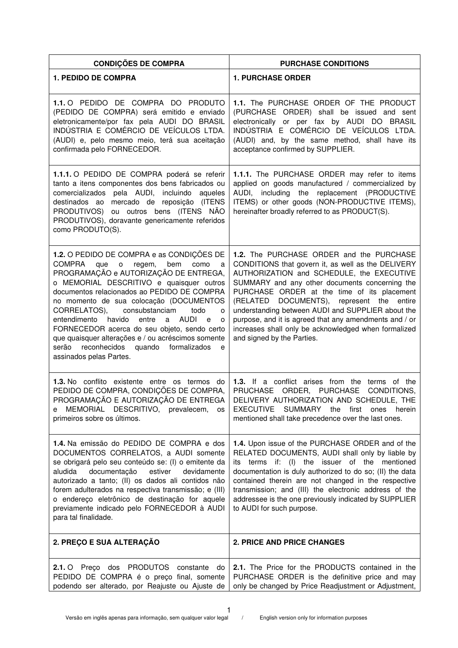| <b>CONDIÇÕES DE COMPRA</b>                                                                                                                                                                                                                                                                                                                                                                                                                                                                                                                                                             | <b>PURCHASE CONDITIONS</b>                                                                                                                                                                                                                                                                                                                                                                                                                                                                     |
|----------------------------------------------------------------------------------------------------------------------------------------------------------------------------------------------------------------------------------------------------------------------------------------------------------------------------------------------------------------------------------------------------------------------------------------------------------------------------------------------------------------------------------------------------------------------------------------|------------------------------------------------------------------------------------------------------------------------------------------------------------------------------------------------------------------------------------------------------------------------------------------------------------------------------------------------------------------------------------------------------------------------------------------------------------------------------------------------|
| <b>1. PEDIDO DE COMPRA</b>                                                                                                                                                                                                                                                                                                                                                                                                                                                                                                                                                             | <b>1. PURCHASE ORDER</b>                                                                                                                                                                                                                                                                                                                                                                                                                                                                       |
| 1.1.0 PEDIDO DE COMPRA DO PRODUTO<br>(PEDIDO DE COMPRA) será emitido e enviado<br>eletronicamente/por fax pela AUDI DO BRASIL<br>INDÚSTRIA E COMÉRCIO DE VEÍCULOS LTDA.<br>(AUDI) e, pelo mesmo meio, terá sua aceitação<br>confirmada pelo FORNECEDOR.                                                                                                                                                                                                                                                                                                                                | 1.1. The PURCHASE ORDER OF THE PRODUCT<br>(PURCHASE ORDER) shall be issued and sent<br>electronically or per fax by AUDI DO BRASIL<br>INDÚSTRIA E COMÉRCIO DE VEÍCULOS LTDA.<br>(AUDI) and, by the same method, shall have its<br>acceptance confirmed by SUPPLIER.                                                                                                                                                                                                                            |
| 1.1.1. O PEDIDO DE COMPRA poderá se referir<br>tanto a itens componentes dos bens fabricados ou<br>comercializados pela AUDI, incluindo<br>aqueles<br>destinados ao mercado de reposição (ITENS<br>PRODUTIVOS) ou outros bens (ITENS NÃO<br>PRODUTIVOS), doravante genericamente referidos<br>como PRODUTO(S).                                                                                                                                                                                                                                                                         | 1.1.1. The PURCHASE ORDER may refer to items<br>applied on goods manufactured / commercialized by<br>including the replacement (PRODUCTIVE<br>AUDI,<br>ITEMS) or other goods (NON-PRODUCTIVE ITEMS),<br>hereinafter broadly referred to as PRODUCT(S).                                                                                                                                                                                                                                         |
| <b>1.2.</b> O PEDIDO DE COMPRA e as CONDIÇÕES DE<br>que o<br><b>COMPRA</b><br>regem,<br>bem<br>como<br>a<br>PROGRAMAÇÃO e AUTORIZAÇÃO DE ENTREGA,<br>o MEMORIAL DESCRITIVO e quaisquer outros<br>documentos relacionados ao PEDIDO DE COMPRA<br>no momento de sua colocação (DOCUMENTOS<br>CORRELATOS),<br>consubstanciam<br>todo<br>$\circ$<br>entre<br>a AUDI e<br>entendimento<br>havido<br>$\circ$<br>FORNECEDOR acerca do seu objeto, sendo certo<br>que quaisquer alterações e / ou acréscimos somente<br>serão reconhecidos quando formalizados<br>e<br>assinados pelas Partes. | 1.2. The PURCHASE ORDER and the PURCHASE<br>CONDITIONS that govern it, as well as the DELIVERY<br>AUTHORIZATION and SCHEDULE, the EXECUTIVE<br>SUMMARY and any other documents concerning the<br>PURCHASE ORDER at the time of its placement<br>(RELATED DOCUMENTS), represent the entire<br>understanding between AUDI and SUPPLIER about the<br>purpose, and it is agreed that any amendments and / or<br>increases shall only be acknowledged when formalized<br>and signed by the Parties. |
| <b>1.3.</b> No conflito existente entre os termos do<br>PEDIDO DE COMPRA, CONDIÇÕES DE COMPRA,<br>PROGRAMAÇÃO E AUTORIZAÇÃO DE ENTREGA<br>MEMORIAL DESCRITIVO, prevalecem,<br>os<br>е<br>primeiros sobre os últimos.                                                                                                                                                                                                                                                                                                                                                                   | 1.3. If a conflict arises from the terms of the<br>PRUCHASE ORDER, PURCHASE CONDITIONS,<br>DELIVERY AUTHORIZATION AND SCHEDULE, THE<br><b>EXECUTIVE</b><br><b>SUMMARY</b><br>the<br>first<br>ones<br>herein<br>mentioned shall take precedence over the last ones.                                                                                                                                                                                                                             |
| 1.4. Na emissão do PEDIDO DE COMPRA e dos<br>DOCUMENTOS CORRELATOS, a AUDI somente<br>se obrigará pelo seu conteúdo se: (I) o emitente da<br>documentação<br>estiver<br>aludida<br>devidamente<br>autorizado a tanto; (II) os dados ali contidos não<br>forem adulterados na respectiva transmissão; e (III)<br>o endereço eletrônico de destinação for aquele<br>previamente indicado pelo FORNECEDOR à AUDI<br>para tal finalidade.                                                                                                                                                  | 1.4. Upon issue of the PURCHASE ORDER and of the<br>RELATED DOCUMENTS, AUDI shall only by liable by<br>its terms if: (I) the issuer of the mentioned<br>documentation is duly authorized to do so; (II) the data<br>contained therein are not changed in the respective<br>transmission; and (III) the electronic address of the<br>addressee is the one previously indicated by SUPPLIER<br>to AUDI for such purpose.                                                                         |
| 2. PREÇO E SUA ALTERAÇÃO                                                                                                                                                                                                                                                                                                                                                                                                                                                                                                                                                               | <b>2. PRICE AND PRICE CHANGES</b>                                                                                                                                                                                                                                                                                                                                                                                                                                                              |
| 2.1. O Preço dos PRODUTOS constante<br>do<br>PEDIDO DE COMPRA é o preço final, somente<br>podendo ser alterado, por Reajuste ou Ajuste de                                                                                                                                                                                                                                                                                                                                                                                                                                              | 2.1. The Price for the PRODUCTS contained in the<br>PURCHASE ORDER is the definitive price and may<br>only be changed by Price Readjustment or Adjustment,                                                                                                                                                                                                                                                                                                                                     |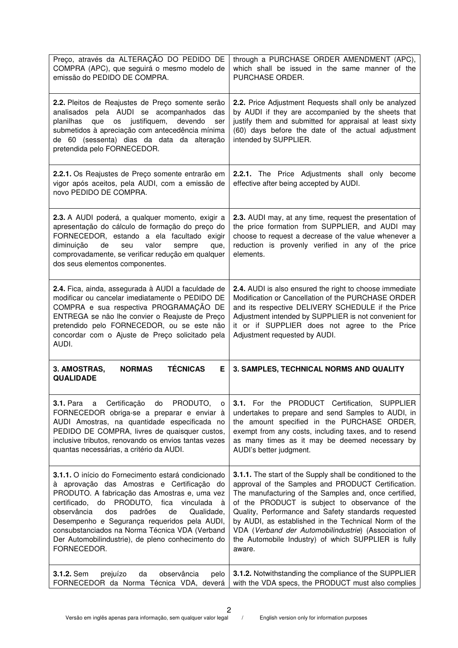| Preço, através da ALTERAÇÃO DO PEDIDO DE<br>COMPRA (APC), que seguirá o mesmo modelo de<br>emissão do PEDIDO DE COMPRA.                                                                                                                                                                                                                                                                                                          | through a PURCHASE ORDER AMENDMENT (APC),<br>which shall be issued in the same manner of the<br>PURCHASE ORDER.                                                                                                                                                                                                                                                                                                                                                     |
|----------------------------------------------------------------------------------------------------------------------------------------------------------------------------------------------------------------------------------------------------------------------------------------------------------------------------------------------------------------------------------------------------------------------------------|---------------------------------------------------------------------------------------------------------------------------------------------------------------------------------------------------------------------------------------------------------------------------------------------------------------------------------------------------------------------------------------------------------------------------------------------------------------------|
| 2.2. Pleitos de Reajustes de Preço somente serão<br>analisados pela AUDI se acompanhados das<br>os justifiquem,<br>devendo<br>planilhas<br>que<br>ser<br>submetidos à apreciação com antecedência mínima<br>de 60 (sessenta) dias da data da alteração<br>pretendida pelo FORNECEDOR.                                                                                                                                            | 2.2. Price Adjustment Requests shall only be analyzed<br>by AUDI if they are accompanied by the sheets that<br>justify them and submitted for appraisal at least sixty<br>(60) days before the date of the actual adjustment<br>intended by SUPPLIER.                                                                                                                                                                                                               |
| 2.2.1. Os Reajustes de Preço somente entrarão em<br>vigor após aceitos, pela AUDI, com a emissão de<br>novo PEDIDO DE COMPRA.                                                                                                                                                                                                                                                                                                    | 2.2.1. The Price Adjustments shall only become<br>effective after being accepted by AUDI.                                                                                                                                                                                                                                                                                                                                                                           |
| 2.3. A AUDI poderá, a qualquer momento, exigir a<br>apresentação do cálculo de formação do preço do<br>FORNECEDOR, estando a ela facultado exigir<br>valor<br>diminuição<br>de<br>seu<br>sempre<br>que,<br>comprovadamente, se verificar redução em qualquer<br>dos seus elementos componentes.                                                                                                                                  | 2.3. AUDI may, at any time, request the presentation of<br>the price formation from SUPPLIER, and AUDI may<br>choose to request a decrease of the value whenever a<br>reduction is provenly verified in any of the price<br>elements.                                                                                                                                                                                                                               |
| 2.4. Fica, ainda, assegurada à AUDI a faculdade de<br>modificar ou cancelar imediatamente o PEDIDO DE<br>COMPRA e sua respectiva PROGRAMAÇÃO DE<br>ENTREGA se não lhe convier o Reajuste de Preço<br>pretendido pelo FORNECEDOR, ou se este não<br>concordar com o Ajuste de Preço solicitado pela<br>AUDI.                                                                                                                      | <b>2.4.</b> AUDI is also ensured the right to choose immediate<br>Modification or Cancellation of the PURCHASE ORDER<br>and its respective DELIVERY SCHEDULE if the Price<br>Adjustment intended by SUPPLIER is not convenient for<br>it or if SUPPLIER does not agree to the Price<br>Adjustment requested by AUDI.                                                                                                                                                |
| <b>TÉCNICAS</b><br><b>NORMAS</b><br>Е<br>3. AMOSTRAS,<br><b>QUALIDADE</b>                                                                                                                                                                                                                                                                                                                                                        | 3. SAMPLES, TECHNICAL NORMS AND QUALITY                                                                                                                                                                                                                                                                                                                                                                                                                             |
| a Certificação do<br>PRODUTO,<br><b>3.1.</b> Para<br>о<br>FORNECEDOR obriga-se a preparar e enviar à<br>AUDI Amostras, na quantidade especificada no<br>PEDIDO DE COMPRA, livres de quaisquer custos,<br>inclusive tributos, renovando os envios tantas vezes<br>quantas necessárias, a critério da AUDI.                                                                                                                        | 3.1. For the PRODUCT Certification, SUPPLIER<br>undertakes to prepare and send Samples to AUDI, in<br>the amount specified in the PURCHASE ORDER,<br>exempt from any costs, including taxes, and to resend<br>as many times as it may be deemed necessary by<br>AUDI's better judgment.                                                                                                                                                                             |
| 3.1.1. O início do Fornecimento estará condicionado<br>à aprovação das Amostras e Certificação do<br>PRODUTO. A fabricação das Amostras e, uma vez<br>do PRODUTO, fica vinculada<br>certificado,<br>à<br>observância<br>dos<br>padrões<br>de<br>Qualidade,<br>Desempenho e Segurança requeridos pela AUDI,<br>consubstanciados na Norma Técnica VDA (Verband<br>Der Automobilindustrie), de pleno conhecimento do<br>FORNECEDOR. | 3.1.1. The start of the Supply shall be conditioned to the<br>approval of the Samples and PRODUCT Certification.<br>The manufacturing of the Samples and, once certified,<br>of the PRODUCT is subject to observance of the<br>Quality, Performance and Safety standards requested<br>by AUDI, as established in the Technical Norm of the<br>VDA (Verband der Automobilindustrie) (Association of<br>the Automobile Industry) of which SUPPLIER is fully<br>aware. |
|                                                                                                                                                                                                                                                                                                                                                                                                                                  |                                                                                                                                                                                                                                                                                                                                                                                                                                                                     |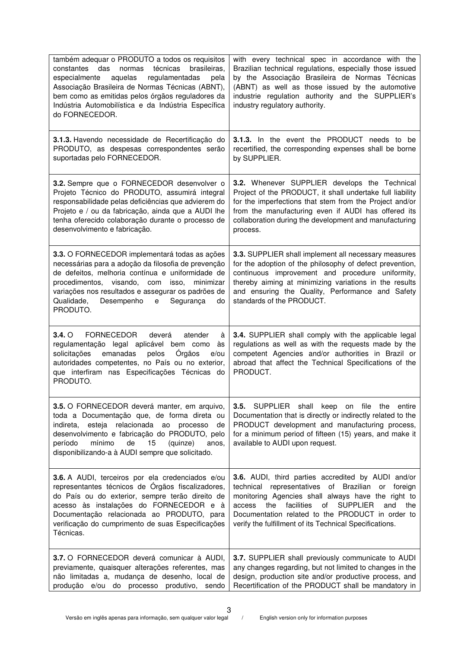| também adequar o PRODUTO a todos os requisitos<br>das normas<br>técnicas<br>brasileiras,<br>constantes<br>aquelas<br>regulamentadas<br>especialmente<br>pela<br>Associação Brasileira de Normas Técnicas (ABNT),<br>bem como as emitidas pelos órgãos reguladores da<br>Indústria Automobilística e da Indústria Específica<br>do FORNECEDOR. | with every technical spec in accordance with the<br>Brazilian technical regulations, especially those issued<br>by the Associação Brasileira de Normas Técnicas<br>(ABNT) as well as those issued by the automotive<br>industrie regulation authority and the SUPPLIER's<br>industry regulatory authority.                                         |
|-----------------------------------------------------------------------------------------------------------------------------------------------------------------------------------------------------------------------------------------------------------------------------------------------------------------------------------------------|----------------------------------------------------------------------------------------------------------------------------------------------------------------------------------------------------------------------------------------------------------------------------------------------------------------------------------------------------|
| 3.1.3. Havendo necessidade de Recertificação do<br>PRODUTO, as despesas correspondentes serão<br>suportadas pelo FORNECEDOR.                                                                                                                                                                                                                  | <b>3.1.3.</b> In the event the PRODUCT needs to be<br>recertified, the corresponding expenses shall be borne<br>by SUPPLIER.                                                                                                                                                                                                                       |
| 3.2. Sempre que o FORNECEDOR desenvolver o<br>Projeto Técnico do PRODUTO, assumirá integral<br>responsabilidade pelas deficiências que advierem do<br>Projeto e / ou da fabricação, ainda que a AUDI lhe<br>tenha oferecido colaboração durante o processo de<br>desenvolvimento e fabricação.                                                | 3.2. Whenever SUPPLIER develops the Technical<br>Project of the PRODUCT, it shall undertake full liability<br>for the imperfections that stem from the Project and/or<br>from the manufacturing even if AUDI has offered its<br>collaboration during the development and manufacturing<br>process.                                                 |
| 3.3. O FORNECEDOR implementará todas as ações<br>necessárias para a adoção da filosofia de prevenção<br>de defeitos, melhoria contínua e uniformidade de<br>procedimentos, visando, com isso, minimizar<br>variações nos resultados e assegurar os padrões de<br>Qualidade,<br>Desempenho<br>Segurança<br>$\mathbf e$<br>do<br>PRODUTO.       | 3.3. SUPPLIER shall implement all necessary measures<br>for the adoption of the philosophy of defect prevention,<br>continuous improvement and procedure uniformity,<br>thereby aiming at minimizing variations in the results<br>and ensuring the Quality, Performance and Safety<br>standards of the PRODUCT.                                    |
| FORNECEDOR<br>$3.4. \circ$<br>deverá<br>atender<br>à<br>regulamentação legal aplicável bem como<br>às<br>emanadas<br>pelos<br><b>Orgãos</b><br>solicitações<br>e/ou<br>autoridades competentes, no País ou no exterior,<br>que interfiram nas Especificações Técnicas do<br>PRODUTO.                                                          | 3.4. SUPPLIER shall comply with the applicable legal<br>regulations as well as with the requests made by the<br>competent Agencies and/or authorities in Brazil or<br>abroad that affect the Technical Specifications of the<br>PRODUCT.                                                                                                           |
| 3.5. O FORNECEDOR deverá manter, em arquivo,<br>toda a Documentação que, de forma direta ou<br>esteja relacionada ao processo<br>indireta,<br>de<br>desenvolvimento e fabricação do PRODUTO, pelo<br>mínimo<br>15<br>de<br>período<br>(quinze)<br>anos,<br>disponibilizando-a à AUDI sempre que solicitado.                                   | 3.5. SUPPLIER shall keep on file the entire<br>Documentation that is directly or indirectly related to the<br>PRODUCT development and manufacturing process,<br>for a minimum period of fifteen (15) years, and make it<br>available to AUDI upon request.                                                                                         |
| 3.6. A AUDI, terceiros por ela credenciados e/ou<br>representantes técnicos de Órgãos fiscalizadores,<br>do País ou do exterior, sempre terão direito de<br>acesso às instalações do FORNECEDOR e à<br>Documentação relacionada ao PRODUTO, para<br>verificação do cumprimento de suas Especificações<br>Técnicas.                            | 3.6. AUDI, third parties accredited by AUDI and/or<br>technical representatives of Brazilian or foreign<br>monitoring Agencies shall always have the right to<br>the<br>facilities<br>of<br><b>SUPPLIER</b><br>and<br>access<br>the<br>Documentation related to the PRODUCT in order to<br>verify the fulfillment of its Technical Specifications. |
| 3.7. O FORNECEDOR deverá comunicar à AUDI,<br>previamente, quaisquer alterações referentes, mas<br>não limitadas a, mudança de desenho, local de<br>produção e/ou do processo produtivo, sendo                                                                                                                                                | 3.7. SUPPLIER shall previously communicate to AUDI<br>any changes regarding, but not limited to changes in the<br>design, production site and/or productive process, and<br>Recertification of the PRODUCT shall be mandatory in                                                                                                                   |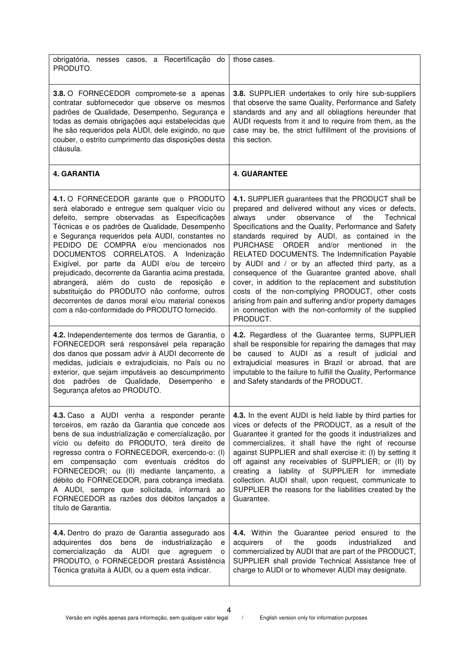| obrigatória, nesses casos, a Recertificação do<br>PRODUTO.                                                                                                                                                                                                                                                                                                                                                                                                                                                                                                                                                                                  | those cases.                                                                                                                                                                                                                                                                                                                                                                                                                                                                                                                                                                                                                                                                                                                                |
|---------------------------------------------------------------------------------------------------------------------------------------------------------------------------------------------------------------------------------------------------------------------------------------------------------------------------------------------------------------------------------------------------------------------------------------------------------------------------------------------------------------------------------------------------------------------------------------------------------------------------------------------|---------------------------------------------------------------------------------------------------------------------------------------------------------------------------------------------------------------------------------------------------------------------------------------------------------------------------------------------------------------------------------------------------------------------------------------------------------------------------------------------------------------------------------------------------------------------------------------------------------------------------------------------------------------------------------------------------------------------------------------------|
| <b>3.8.</b> O FORNECEDOR compromete-se a apenas<br>contratar subfornecedor que observe os mesmos<br>padrões de Qualidade, Desempenho, Segurança e<br>todas as demais obrigações aqui estabelecidas que<br>lhe são requeridos pela AUDI, dele exigindo, no que<br>couber, o estrito cumprimento das disposições desta<br>cláusula.                                                                                                                                                                                                                                                                                                           | 3.8. SUPPLIER undertakes to only hire sub-suppliers<br>that observe the same Quality, Performance and Safety<br>standards and any and all obliagtions hereunder that<br>AUDI requests from it and to require from them, as the<br>case may be, the strict fulfillment of the provisions of<br>this section.                                                                                                                                                                                                                                                                                                                                                                                                                                 |
| <b>4. GARANTIA</b>                                                                                                                                                                                                                                                                                                                                                                                                                                                                                                                                                                                                                          | <b>4. GUARANTEE</b>                                                                                                                                                                                                                                                                                                                                                                                                                                                                                                                                                                                                                                                                                                                         |
| 4.1. O FORNECEDOR garante que o PRODUTO<br>será elaborado e entregue sem qualquer vício ou<br>defeito, sempre observadas as Especificações<br>Técnicas e os padrões de Qualidade, Desempenho<br>e Segurança requeridos pela AUDI, constantes no<br>PEDIDO DE COMPRA e/ou mencionados nos<br>DOCUMENTOS CORRELATOS. A Indenização<br>Exigível, por parte da AUDI e/ou de terceiro<br>prejudicado, decorrente da Garantia acima prestada,<br>abrangerá, além do custo de reposição<br>e e<br>substituição do PRODUTO não conforme, outros<br>decorrentes de danos moral e/ou material conexos<br>com a não-conformidade do PRODUTO fornecido. | 4.1. SUPPLIER guarantees that the PRODUCT shall be<br>prepared and delivered without any vices or defects,<br>under<br>observance<br>of<br>the<br>Technical<br>always<br>Specifications and the Quality, Performance and Safety<br>standards required by AUDI, as contained in the<br>PURCHASE ORDER and/or mentioned<br>in<br>the<br>RELATED DOCUMENTS. The Indemnification Payable<br>by AUDI and / or by an affected third party, as a<br>consequence of the Guarantee granted above, shall<br>cover, in addition to the replacement and substitution<br>costs of the non-complying PRODUCT, other costs<br>arising from pain and suffering and/or property damages<br>in connection with the non-conformity of the supplied<br>PRODUCT. |
| 4.2. Independentemente dos termos de Garantia, o<br>FORNECEDOR será responsável pela reparação<br>dos danos que possam advir à AUDI decorrente de<br>medidas, judiciais e extrajudiciais, no País ou no<br>exterior, que sejam imputáveis ao descumprimento<br>padrões de Qualidade,<br>Desempenho<br>dos<br>$\mathbf e$<br>Segurança afetos ao PRODUTO.                                                                                                                                                                                                                                                                                    | 4.2. Regardless of the Guarantee terms, SUPPLIER<br>shall be responsible for repairing the damages that may<br>be caused to AUDI as a result of judicial and<br>extrajudicial measures in Brazil or abroad, that are<br>imputable to the failure to fulfill the Quality, Performance<br>and Safety standards of the PRODUCT.                                                                                                                                                                                                                                                                                                                                                                                                                |
| 4.3. Caso a AUDI venha a responder perante<br>terceiros, em razão da Garantia que concede aos<br>bens de sua industrialização e comercialização, por<br>vício ou defeito do PRODUTO, terá direito de<br>regresso contra o FORNECEDOR, exercendo-o: (I)<br>em compensação com eventuais créditos do<br>FORNECEDOR; ou (II) mediante lançamento, a<br>débito do FORNECEDOR, para cobrança imediata.<br>A AUDI, sempre que solicitada, informará ao<br>FORNECEDOR as razões dos débitos lançados a<br>título de Garantia.                                                                                                                      | 4.3. In the event AUDI is held liable by third parties for<br>vices or defects of the PRODUCT, as a result of the<br>Guarantee it granted for the goods it industrializes and<br>commercializes, it shall have the right of recourse<br>against SUPPLIER and shall exercise it: (I) by setting it<br>off against any receivables of SUPPLIER; or (II) by<br>creating a liability of SUPPLIER for immediate<br>collection. AUDI shall, upon request, communicate to<br>SUPPLIER the reasons for the liabilities created by the<br>Guarantee.                                                                                                                                                                                                 |
| 4.4. Dentro do prazo de Garantia assegurado aos<br>adquirentes dos<br>bens de<br>industrialização<br>е<br>comercialização da AUDI<br>que<br>agreguem<br>o<br>PRODUTO, o FORNECEDOR prestará Assistência<br>Técnica gratuita à AUDI, ou a quem esta indicar.                                                                                                                                                                                                                                                                                                                                                                                 | 4.4. Within the Guarantee period ensured to the<br>the<br>acquirers<br>of<br>goods<br>industrialized<br>and<br>commercialized by AUDI that are part of the PRODUCT,<br>SUPPLIER shall provide Technical Assistance free of<br>charge to AUDI or to whomever AUDI may designate.                                                                                                                                                                                                                                                                                                                                                                                                                                                             |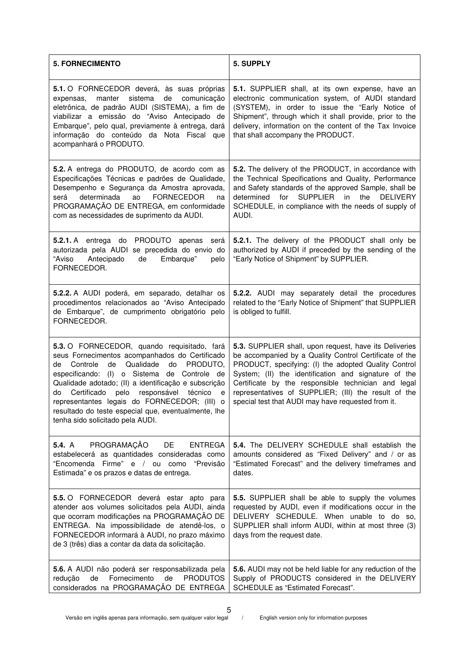| <b>5. FORNECIMENTO</b>                                                                                                                                                                                                                                                                                                                                                                                                                                    | 5. SUPPLY                                                                                                                                                                                                                                                                                                                                                                                             |
|-----------------------------------------------------------------------------------------------------------------------------------------------------------------------------------------------------------------------------------------------------------------------------------------------------------------------------------------------------------------------------------------------------------------------------------------------------------|-------------------------------------------------------------------------------------------------------------------------------------------------------------------------------------------------------------------------------------------------------------------------------------------------------------------------------------------------------------------------------------------------------|
| 5.1. O FORNECEDOR deverá, às suas próprias<br>sistema<br>manter<br>de comunicação<br>expensas,<br>eletrônica, de padrão AUDI (SISTEMA), a fim de<br>viabilizar a emissão do "Aviso Antecipado de<br>Embarque", pelo qual, previamente à entrega, dará<br>informação do conteúdo da Nota Fiscal que<br>acompanhará o PRODUTO.                                                                                                                              | 5.1. SUPPLIER shall, at its own expense, have an<br>electronic communication system, of AUDI standard<br>(SYSTEM), in order to issue the "Early Notice of<br>Shipment", through which it shall provide, prior to the<br>delivery, information on the content of the Tax Invoice<br>that shall accompany the PRODUCT.                                                                                  |
| 5.2. A entrega do PRODUTO, de acordo com as<br>Especificações Técnicas e padrões de Qualidade,<br>Desempenho e Segurança da Amostra aprovada,<br>determinada<br><b>FORNECEDOR</b><br>será<br>ao<br>na<br>PROGRAMAÇÃO DE ENTREGA, em conformidade<br>com as necessidades de suprimento da AUDI.                                                                                                                                                            | 5.2. The delivery of the PRODUCT, in accordance with<br>the Technical Specifications and Quality, Performance<br>and Safety standards of the approved Sample, shall be<br>determined<br>for<br><b>SUPPLIER</b><br>in<br>the<br><b>DELIVERY</b><br>SCHEDULE, in compliance with the needs of supply of<br>AUDI.                                                                                        |
| 5.2.1. A entrega do PRODUTO apenas<br>será<br>autorizada pela AUDI se precedida do envio do<br>"Aviso<br>Antecipado<br>Embarque"<br>de<br>pelo<br>FORNECEDOR.                                                                                                                                                                                                                                                                                             | 5.2.1. The delivery of the PRODUCT shall only be<br>authorized by AUDI if preceded by the sending of the<br>"Early Notice of Shipment" by SUPPLIER.                                                                                                                                                                                                                                                   |
| 5.2.2. A AUDI poderá, em separado, detalhar os<br>procedimentos relacionados ao "Aviso Antecipado<br>de Embarque", de cumprimento obrigatório pelo<br>FORNECEDOR.                                                                                                                                                                                                                                                                                         | 5.2.2. AUDI may separately detail the procedures<br>related to the "Early Notice of Shipment" that SUPPLIER<br>is obliged to fulfill.                                                                                                                                                                                                                                                                 |
| 5.3. O FORNECEDOR, quando requisitado, fará<br>seus Fornecimentos acompanhados do Certificado<br>Qualidade<br>PRODUTO.<br>Controle<br>de<br>do<br>de<br>especificando: (I) o Sistema de Controle de<br>Qualidade adotado; (II) a identificação e subscrição<br>Certificado pelo responsável técnico<br>do<br>e<br>representantes legais do FORNECEDOR; (III) o<br>resultado do teste especial que, eventualmente, lhe<br>tenha sido solicitado pela AUDI. | 5.3. SUPPLIER shall, upon request, have its Deliveries<br>be accompanied by a Quality Control Certificate of the<br>PRODUCT, specifying: (I) the adopted Quality Control<br>System; (II) the identification and signature of the<br>Certificate by the responsible technician and legal<br>representatives of SUPPLIER; (III) the result of the<br>special test that AUDI may have requested from it. |
| PROGRAMAÇÃO<br><b>ENTREGA</b><br><b>5.4.</b> A<br>DE<br>estabelecerá as quantidades consideradas como<br>"Encomenda Firme" e / ou como "Previsão<br>Estimada" e os prazos e datas de entrega.                                                                                                                                                                                                                                                             | 5.4. The DELIVERY SCHEDULE shall establish the<br>amounts considered as "Fixed Delivery" and / or as<br>"Estimated Forecast" and the delivery timeframes and<br>dates.                                                                                                                                                                                                                                |
| 5.5. O FORNECEDOR deverá estar apto para<br>atender aos volumes solicitados pela AUDI, ainda<br>que ocorram modificações na PROGRAMAÇÃO DE<br>ENTREGA. Na impossibilidade de atendê-los, o<br>FORNECEDOR informará à AUDI, no prazo máximo<br>de 3 (três) dias a contar da data da solicitação.                                                                                                                                                           | 5.5. SUPPLIER shall be able to supply the volumes<br>requested by AUDI, even if modifications occur in the<br>DELIVERY SCHEDULE. When unable to do so,<br>SUPPLIER shall inform AUDI, within at most three (3)<br>days from the request date.                                                                                                                                                         |
| 5.6. A AUDI não poderá ser responsabilizada pela<br>Fornecimento<br><b>PRODUTOS</b><br>redução<br>de<br>de<br>considerados na PROGRAMAÇÃO DE ENTREGA                                                                                                                                                                                                                                                                                                      | 5.6. AUDI may not be held liable for any reduction of the<br>Supply of PRODUCTS considered in the DELIVERY<br>SCHEDULE as "Estimated Forecast".                                                                                                                                                                                                                                                       |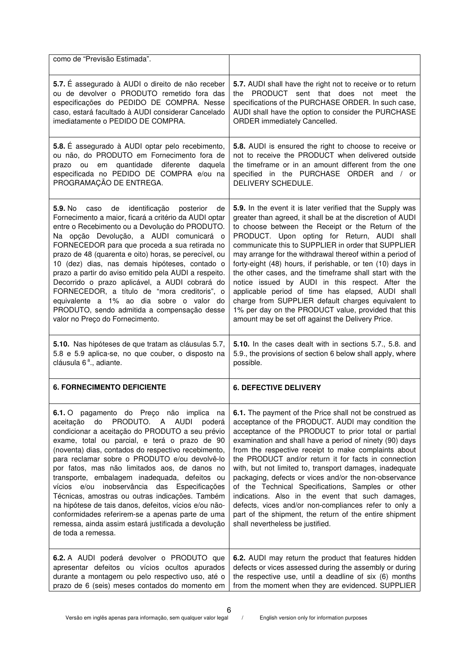| como de "Previsão Estimada".                                                                                                                                                                                                                                                                                                                                                                                                                                                                                                                                                                                                                                                                        |                                                                                                                                                                                                                                                                                                                                                                                                                                                                                                                                                                                                                                                                                                                                                       |
|-----------------------------------------------------------------------------------------------------------------------------------------------------------------------------------------------------------------------------------------------------------------------------------------------------------------------------------------------------------------------------------------------------------------------------------------------------------------------------------------------------------------------------------------------------------------------------------------------------------------------------------------------------------------------------------------------------|-------------------------------------------------------------------------------------------------------------------------------------------------------------------------------------------------------------------------------------------------------------------------------------------------------------------------------------------------------------------------------------------------------------------------------------------------------------------------------------------------------------------------------------------------------------------------------------------------------------------------------------------------------------------------------------------------------------------------------------------------------|
| 5.7. É assegurado à AUDI o direito de não receber<br>ou de devolver o PRODUTO remetido fora das<br>especificações do PEDIDO DE COMPRA. Nesse<br>caso, estará facultado à AUDI considerar Cancelado<br>imediatamente o PEDIDO DE COMPRA.                                                                                                                                                                                                                                                                                                                                                                                                                                                             | 5.7. AUDI shall have the right not to receive or to return<br>the PRODUCT sent that does not meet the<br>specifications of the PURCHASE ORDER. In such case,<br>AUDI shall have the option to consider the PURCHASE<br>ORDER immediately Cancelled.                                                                                                                                                                                                                                                                                                                                                                                                                                                                                                   |
| 5.8. É assegurado à AUDI optar pelo recebimento,<br>ou não, do PRODUTO em Fornecimento fora de<br>em quantidade diferente<br>daquela<br>prazo ou<br>especificada no PEDIDO DE COMPRA e/ou na<br>PROGRAMAÇÃO DE ENTREGA.                                                                                                                                                                                                                                                                                                                                                                                                                                                                             | 5.8. AUDI is ensured the right to choose to receive or<br>not to receive the PRODUCT when delivered outside<br>the timeframe or in an amount different from the one<br>specified in the PURCHASE ORDER and / or<br>DELIVERY SCHEDULE.                                                                                                                                                                                                                                                                                                                                                                                                                                                                                                                 |
| 5.9. No caso de identificação posterior<br>de<br>Fornecimento a maior, ficará a critério da AUDI optar<br>entre o Recebimento ou a Devolução do PRODUTO.<br>Na opção Devolução, a AUDI comunicará o<br>FORNECEDOR para que proceda a sua retirada no<br>prazo de 48 (quarenta e oito) horas, se perecível, ou<br>10 (dez) dias, nas demais hipóteses, contado o<br>prazo a partir do aviso emitido pela AUDI a respeito.<br>Decorrido o prazo aplicável, a AUDI cobrará do<br>FORNECEDOR, a título de "mora creditoris", o<br>equivalente a 1% ao dia sobre o valor do<br>PRODUTO, sendo admitida a compensação desse<br>valor no Preço do Fornecimento.                                            | 5.9. In the event it is later verified that the Supply was<br>greater than agreed, it shall be at the discretion of AUDI<br>to choose between the Receipt or the Return of the<br>PRODUCT. Upon opting for Return, AUDI shall<br>communicate this to SUPPLIER in order that SUPPLIER<br>may arrange for the withdrawal thereof within a period of<br>forty-eight (48) hours, if perishable, or ten (10) days in<br>the other cases, and the timeframe shall start with the<br>notice issued by AUDI in this respect. After the<br>applicable period of time has elapsed, AUDI shall<br>charge from SUPPLIER default charges equivalent to<br>1% per day on the PRODUCT value, provided that this<br>amount may be set off against the Delivery Price. |
| 5.10. Nas hipóteses de que tratam as cláusulas 5.7,<br>5.8 e 5.9 aplica-se, no que couber, o disposto na<br>cláusula 6 <sup>ª</sup> ., adiante.                                                                                                                                                                                                                                                                                                                                                                                                                                                                                                                                                     | 5.10. In the cases dealt with in sections 5.7., 5.8. and<br>5.9., the provisions of section 6 below shall apply, where<br>possible.                                                                                                                                                                                                                                                                                                                                                                                                                                                                                                                                                                                                                   |
| <b>6. FORNECIMENTO DEFICIENTE</b>                                                                                                                                                                                                                                                                                                                                                                                                                                                                                                                                                                                                                                                                   | <b>6. DEFECTIVE DELIVERY</b>                                                                                                                                                                                                                                                                                                                                                                                                                                                                                                                                                                                                                                                                                                                          |
| 6.1. O pagamento do Preço não implica na<br>do<br>PRODUTO. A AUDI<br>aceitação<br>poderá<br>condicionar a aceitação do PRODUTO a seu prévio<br>exame, total ou parcial, e terá o prazo de 90<br>(noventa) dias, contados do respectivo recebimento,<br>para reclamar sobre o PRODUTO e/ou devolvê-lo<br>por fatos, mas não limitados aos, de danos no<br>transporte, embalagem inadequada, defeitos ou<br>vícios e/ou inobservância das Especificações<br>Técnicas, amostras ou outras indicações. Também<br>na hipótese de tais danos, defeitos, vícios e/ou não-<br>conformidades referirem-se a apenas parte de uma<br>remessa, ainda assim estará justificada a devolução<br>de toda a remessa. | 6.1. The payment of the Price shall not be construed as<br>acceptance of the PRODUCT. AUDI may condition the<br>acceptance of the PRODUCT to prior total or partial<br>examination and shall have a period of ninety (90) days<br>from the respective receipt to make complaints about<br>the PRODUCT and/or return it for facts in connection<br>with, but not limited to, transport damages, inadequate<br>packaging, defects or vices and/or the non-observance<br>of the Technical Specifications, Samples or other<br>indications. Also in the event that such damages,<br>defects, vices and/or non-compliances refer to only a<br>part of the shipment, the return of the entire shipment<br>shall nevertheless be justified.                  |
| 6.2. A AUDI poderá devolver o PRODUTO que<br>apresentar defeitos ou vícios ocultos apurados<br>durante a montagem ou pelo respectivo uso, até o<br>prazo de 6 (seis) meses contados do momento em                                                                                                                                                                                                                                                                                                                                                                                                                                                                                                   | 6.2. AUDI may return the product that features hidden<br>defects or vices assessed during the assembly or during<br>the respective use, until a deadline of six (6) months<br>from the moment when they are evidenced. SUPPLIER                                                                                                                                                                                                                                                                                                                                                                                                                                                                                                                       |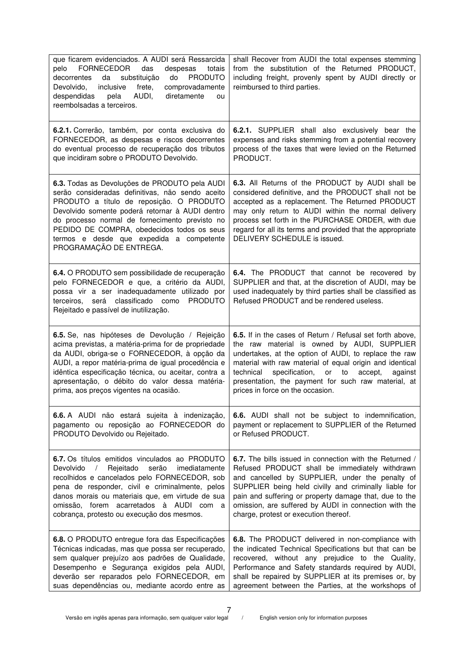| que ficarem evidenciados. A AUDI será Ressarcida<br><b>FORNECEDOR</b><br>das<br>despesas<br>totais<br>pelo<br><b>PRODUTO</b><br>da substituição<br>do<br>decorrentes<br>Devolvido,<br>inclusive<br>frete,<br>comprovadamente<br>AUDI,<br>diretamente<br>despendidas<br>pela<br>ou<br>reembolsadas a terceiros.                                                          | shall Recover from AUDI the total expenses stemming<br>from the substitution of the Returned PRODUCT,<br>including freight, provenly spent by AUDI directly or<br>reimbursed to third parties.                                                                                                                                                                                         |
|-------------------------------------------------------------------------------------------------------------------------------------------------------------------------------------------------------------------------------------------------------------------------------------------------------------------------------------------------------------------------|----------------------------------------------------------------------------------------------------------------------------------------------------------------------------------------------------------------------------------------------------------------------------------------------------------------------------------------------------------------------------------------|
| 6.2.1. Correrão, também, por conta exclusiva do<br>FORNECEDOR, as despesas e riscos decorrentes<br>do eventual processo de recuperação dos tributos<br>que incidiram sobre o PRODUTO Devolvido.                                                                                                                                                                         | 6.2.1. SUPPLIER shall also exclusively bear the<br>expenses and risks stemming from a potential recovery<br>process of the taxes that were levied on the Returned<br>PRODUCT.                                                                                                                                                                                                          |
| 6.3. Todas as Devoluções de PRODUTO pela AUDI<br>serão consideradas definitivas, não sendo aceito<br>PRODUTO a título de reposição. O PRODUTO<br>Devolvido somente poderá retornar à AUDI dentro<br>do processo normal de fornecimento previsto no<br>PEDIDO DE COMPRA, obedecidos todos os seus<br>termos e desde que expedida a competente<br>PROGRAMAÇÃO DE ENTREGA. | 6.3. All Returns of the PRODUCT by AUDI shall be<br>considered definitive, and the PRODUCT shall not be<br>accepted as a replacement. The Returned PRODUCT<br>may only return to AUDI within the normal delivery<br>process set forth in the PURCHASE ORDER, with due<br>regard for all its terms and provided that the appropriate<br>DELIVERY SCHEDULE is issued.                    |
| 6.4. O PRODUTO sem possibilidade de recuperação<br>pelo FORNECEDOR e que, a critério da AUDI,<br>possa vir a ser inadequadamente utilizado por<br>será classificado como<br><b>PRODUTO</b><br>terceiros,<br>Rejeitado e passível de inutilização.                                                                                                                       | 6.4. The PRODUCT that cannot be recovered by<br>SUPPLIER and that, at the discretion of AUDI, may be<br>used inadequately by third parties shall be classified as<br>Refused PRODUCT and be rendered useless.                                                                                                                                                                          |
| 6.5. Se, nas hipóteses de Devolução / Rejeição<br>acima previstas, a matéria-prima for de propriedade<br>da AUDI, obriga-se o FORNECEDOR, à opção da<br>AUDI, a repor matéria-prima de igual procedência e<br>idêntica especificação técnica, ou aceitar, contra a<br>apresentação, o débito do valor dessa matéria-<br>prima, aos preços vigentes na ocasião.          | 6.5. If in the cases of Return / Refusal set forth above,<br>the raw material is owned by AUDI, SUPPLIER<br>undertakes, at the option of AUDI, to replace the raw<br>material with raw material of equal origin and identical<br>specification,<br>technical<br>or to<br>accept,<br>against<br>presentation, the payment for such raw material, at<br>prices in force on the occasion. |
| 6.6. A AUDI não estará sujeita à indenização,<br>pagamento ou reposição ao FORNECEDOR do<br>PRODUTO Devolvido ou Rejeitado.                                                                                                                                                                                                                                             | 6.6. AUDI shall not be subject to indemnification,<br>payment or replacement to SUPPLIER of the Returned<br>or Refused PRODUCT.                                                                                                                                                                                                                                                        |
| 6.7. Os títulos emitidos vinculados ao PRODUTO<br>Rejeitado<br>Devolvido<br>serão<br>imediatamente<br>$\sqrt{2}$<br>recolhidos e cancelados pelo FORNECEDOR, sob<br>pena de responder, civil e criminalmente, pelos<br>danos morais ou materiais que, em virtude de sua<br>omissão, forem acarretados à AUDI com a<br>cobrança, protesto ou execução dos mesmos.        | 6.7. The bills issued in connection with the Returned /<br>Refused PRODUCT shall be immediately withdrawn<br>and cancelled by SUPPLIER, under the penalty of<br>SUPPLIER being held civilly and criminally liable for<br>pain and suffering or property damage that, due to the<br>omission, are suffered by AUDI in connection with the<br>charge, protest or execution thereof.      |
| 6.8. O PRODUTO entregue fora das Especificações<br>Técnicas indicadas, mas que possa ser recuperado,<br>sem qualquer prejuízo aos padrões de Qualidade,<br>Desempenho e Segurança exigidos pela AUDI,<br>deverão ser reparados pelo FORNECEDOR, em<br>suas dependências ou, mediante acordo entre as                                                                    | 6.8. The PRODUCT delivered in non-compliance with<br>the indicated Technical Specifications but that can be<br>recovered, without any prejudice to the Quality,<br>Performance and Safety standards required by AUDI,<br>shall be repaired by SUPPLIER at its premises or, by<br>agreement between the Parties, at the workshops of                                                    |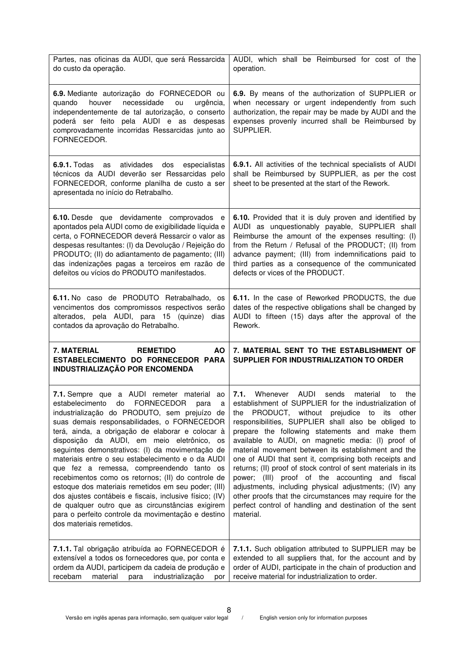| Partes, nas oficinas da AUDI, que será Ressarcida<br>do custo da operação.                                                                                                                                                                                                                                                                                                                                                                                                                                                                                                                                                                                                                                                                                    | AUDI, which shall be Reimbursed for cost of the<br>operation.                                                                                                                                                                                                                                                                                                                                                                                                                                                                                                                                                                                                                                                                                                                 |
|---------------------------------------------------------------------------------------------------------------------------------------------------------------------------------------------------------------------------------------------------------------------------------------------------------------------------------------------------------------------------------------------------------------------------------------------------------------------------------------------------------------------------------------------------------------------------------------------------------------------------------------------------------------------------------------------------------------------------------------------------------------|-------------------------------------------------------------------------------------------------------------------------------------------------------------------------------------------------------------------------------------------------------------------------------------------------------------------------------------------------------------------------------------------------------------------------------------------------------------------------------------------------------------------------------------------------------------------------------------------------------------------------------------------------------------------------------------------------------------------------------------------------------------------------------|
| 6.9. Mediante autorização do FORNECEDOR ou<br>quando<br>houver<br>necessidade<br>urgência,<br>ou<br>independentemente de tal autorização, o conserto<br>poderá ser feito pela AUDI e as despesas<br>comprovadamente incorridas Ressarcidas junto ao<br>FORNECEDOR.                                                                                                                                                                                                                                                                                                                                                                                                                                                                                            | 6.9. By means of the authorization of SUPPLIER or<br>when necessary or urgent independently from such<br>authorization, the repair may be made by AUDI and the<br>expenses provenly incurred shall be Reimbursed by<br>SUPPLIER.                                                                                                                                                                                                                                                                                                                                                                                                                                                                                                                                              |
| <b>6.9.1.</b> Todas<br>atividades dos<br>especialistas<br>as<br>técnicos da AUDI deverão ser Ressarcidas pelo<br>FORNECEDOR, conforme planilha de custo a ser<br>apresentada no início do Retrabalho.                                                                                                                                                                                                                                                                                                                                                                                                                                                                                                                                                         | 6.9.1. All activities of the technical specialists of AUDI<br>shall be Reimbursed by SUPPLIER, as per the cost<br>sheet to be presented at the start of the Rework.                                                                                                                                                                                                                                                                                                                                                                                                                                                                                                                                                                                                           |
| 6.10. Desde que devidamente comprovados e<br>apontados pela AUDI como de exigibilidade líquida e<br>certa, o FORNECEDOR deverá Ressarcir o valor as<br>despesas resultantes: (I) da Devolução / Rejeição do<br>PRODUTO; (II) do adiantamento de pagamento; (III)<br>das indenizações pagas a terceiros em razão de<br>defeitos ou vícios do PRODUTO manifestados.                                                                                                                                                                                                                                                                                                                                                                                             | 6.10. Provided that it is duly proven and identified by<br>AUDI as unquestionably payable, SUPPLIER shall<br>Reimburse the amount of the expenses resulting: (I)<br>from the Return / Refusal of the PRODUCT; (II) from<br>advance payment; (III) from indemnifications paid to<br>third parties as a consequence of the communicated<br>defects or vices of the PRODUCT.                                                                                                                                                                                                                                                                                                                                                                                                     |
| 6.11. No caso de PRODUTO Retrabalhado, os<br>vencimentos dos compromissos respectivos serão<br>alterados, pela AUDI, para 15 (quinze)<br>dias<br>contados da aprovação do Retrabalho.                                                                                                                                                                                                                                                                                                                                                                                                                                                                                                                                                                         | 6.11. In the case of Reworked PRODUCTS, the due<br>dates of the respective obligations shall be changed by<br>AUDI to fifteen (15) days after the approval of the<br>Rework.                                                                                                                                                                                                                                                                                                                                                                                                                                                                                                                                                                                                  |
| 7. MATERIAL<br><b>REMETIDO</b><br><b>AO</b><br>ESTABELECIMENTO DO FORNECEDOR PARA<br>INDUSTRIALIZAÇÃO POR ENCOMENDA                                                                                                                                                                                                                                                                                                                                                                                                                                                                                                                                                                                                                                           | 7. MATERIAL SENT TO THE ESTABLISHMENT OF<br>SUPPLIER FOR INDUSTRIALIZATION TO ORDER                                                                                                                                                                                                                                                                                                                                                                                                                                                                                                                                                                                                                                                                                           |
| 7.1. Sempre que a AUDI remeter material ao<br>estabelecimento do FORNECEDOR<br>para<br>a<br>industrialização do PRODUTO, sem prejuízo de<br>suas demais responsabilidades, o FORNECEDOR<br>terá, ainda, a obrigação de elaborar e colocar à<br>disposição da AUDI, em meio eletrônico, os<br>seguintes demonstrativos: (I) da movimentação de<br>materiais entre o seu estabelecimento e o da AUDI<br>que fez a remessa, compreendendo tanto os<br>recebimentos como os retornos; (II) do controle de<br>estoque dos materiais remetidos em seu poder; (III)<br>dos ajustes contábeis e fiscais, inclusive físico; (IV)<br>de qualquer outro que as circunstâncias exigirem<br>para o perfeito controle da movimentação e destino<br>dos materiais remetidos. | <b>AUDI</b><br>7.1.<br>Whenever<br>the<br>sends<br>material<br>to<br>establishment of SUPPLIER for the industrialization of<br>PRODUCT, without prejudice to its other<br>the<br>responsibilities, SUPPLIER shall also be obliged to<br>prepare the following statements and make them<br>available to AUDI, on magnetic media: (I) proof of<br>material movement between its establishment and the<br>one of AUDI that sent it, comprising both receipts and<br>returns; (II) proof of stock control of sent materials in its<br>power; (III) proof of the accounting and fiscal<br>adjustments, including physical adjustments; (IV) any<br>other proofs that the circumstances may require for the<br>perfect control of handling and destination of the sent<br>material. |
| 7.1.1. Tal obrigação atribuída ao FORNECEDOR é<br>extensível a todos os fornecedores que, por conta e<br>ordem da AUDI, participem da cadeia de produção e<br>recebam<br>material<br>industrialização<br>para<br>por                                                                                                                                                                                                                                                                                                                                                                                                                                                                                                                                          | 7.1.1. Such obligation attributed to SUPPLIER may be<br>extended to all suppliers that, for the account and by<br>order of AUDI, participate in the chain of production and<br>receive material for industrialization to order.                                                                                                                                                                                                                                                                                                                                                                                                                                                                                                                                               |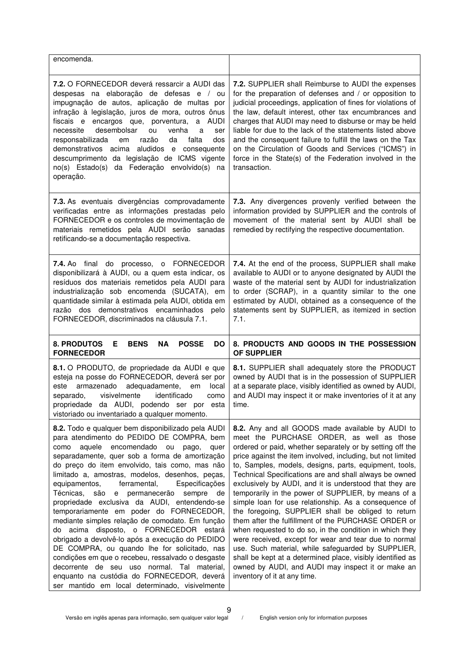| encomenda.                                                                                                                                                                                                                                                                                                                                                                                                                                                                                                                                                                                                                                                                                                                                                                                                                                                                                                             |                                                                                                                                                                                                                                                                                                                                                                                                                                                                                                                                                                                                                                                                                                                                                                                                                                                                                                                                                                    |
|------------------------------------------------------------------------------------------------------------------------------------------------------------------------------------------------------------------------------------------------------------------------------------------------------------------------------------------------------------------------------------------------------------------------------------------------------------------------------------------------------------------------------------------------------------------------------------------------------------------------------------------------------------------------------------------------------------------------------------------------------------------------------------------------------------------------------------------------------------------------------------------------------------------------|--------------------------------------------------------------------------------------------------------------------------------------------------------------------------------------------------------------------------------------------------------------------------------------------------------------------------------------------------------------------------------------------------------------------------------------------------------------------------------------------------------------------------------------------------------------------------------------------------------------------------------------------------------------------------------------------------------------------------------------------------------------------------------------------------------------------------------------------------------------------------------------------------------------------------------------------------------------------|
| 7.2. O FORNECEDOR deverá ressarcir a AUDI das<br>despesas na elaboração de defesas e / ou<br>impugnação de autos, aplicação de multas por<br>infração à legislação, juros de mora, outros ônus<br>fiscais e encargos que, porventura, a AUDI<br>desembolsar<br>necessite<br>venha<br>ou<br>a<br>ser<br>falta<br>responsabilizada<br>razão<br>da<br>dos<br>em<br>demonstrativos acima aludidos e consequente<br>descumprimento da legislação de ICMS vigente<br>no(s) Estado(s) da Federação envolvido(s) na<br>operação.                                                                                                                                                                                                                                                                                                                                                                                               | 7.2. SUPPLIER shall Reimburse to AUDI the expenses<br>for the preparation of defenses and / or opposition to<br>judicial proceedings, application of fines for violations of<br>the law, default interest, other tax encumbrances and<br>charges that AUDI may need to disburse or may be held<br>liable for due to the lack of the statements listed above<br>and the consequent failure to fulfill the laws on the Tax<br>on the Circulation of Goods and Services ("ICMS") in<br>force in the State(s) of the Federation involved in the<br>transaction.                                                                                                                                                                                                                                                                                                                                                                                                        |
| 7.3. As eventuais divergências comprovadamente<br>verificadas entre as informações prestadas pelo<br>FORNECEDOR e os controles de movimentação de<br>materiais remetidos pela AUDI serão sanadas<br>retificando-se a documentação respectiva.                                                                                                                                                                                                                                                                                                                                                                                                                                                                                                                                                                                                                                                                          | 7.3. Any divergences provenly verified between the<br>information provided by SUPPLIER and the controls of<br>movement of the material sent by AUDI shall be<br>remedied by rectifying the respective documentation.                                                                                                                                                                                                                                                                                                                                                                                                                                                                                                                                                                                                                                                                                                                                               |
| 7.4. Ao final do processo, o FORNECEDOR<br>disponibilizará à AUDI, ou a quem esta indicar, os<br>resíduos dos materiais remetidos pela AUDI para<br>industrialização sob encomenda (SUCATA), em<br>quantidade similar à estimada pela AUDI, obtida em<br>razão dos demonstrativos encaminhados pelo<br>FORNECEDOR, discriminados na cláusula 7.1.                                                                                                                                                                                                                                                                                                                                                                                                                                                                                                                                                                      | 7.4. At the end of the process, SUPPLIER shall make<br>available to AUDI or to anyone designated by AUDI the<br>waste of the material sent by AUDI for industrialization<br>to order (SCRAP), in a quantity similar to the one<br>estimated by AUDI, obtained as a consequence of the<br>statements sent by SUPPLIER, as itemized in section<br>7.1.                                                                                                                                                                                                                                                                                                                                                                                                                                                                                                                                                                                                               |
| <b>8. PRODUTOS</b><br><b>POSSE</b><br>Е<br><b>BENS</b><br><b>NA</b><br><b>DO</b><br><b>FORNECEDOR</b>                                                                                                                                                                                                                                                                                                                                                                                                                                                                                                                                                                                                                                                                                                                                                                                                                  | 8. PRODUCTS AND GOODS IN THE POSSESSION<br><b>OF SUPPLIER</b>                                                                                                                                                                                                                                                                                                                                                                                                                                                                                                                                                                                                                                                                                                                                                                                                                                                                                                      |
| 8.1. O PRODUTO, de propriedade da AUDI e que<br>esteja na posse do FORNECEDOR, deverá ser por<br>armazenado adequadamente,<br>local<br>este<br>em<br>visivelmente<br>identificado<br>separado,<br>como<br>propriedade da AUDI, podendo ser por esta<br>vistoriado ou inventariado a qualquer momento.                                                                                                                                                                                                                                                                                                                                                                                                                                                                                                                                                                                                                  | 8.1. SUPPLIER shall adequately store the PRODUCT<br>owned by AUDI that is in the possession of SUPPLIER<br>at a separate place, visibly identified as owned by AUDI,<br>and AUDI may inspect it or make inventories of it at any<br>time.                                                                                                                                                                                                                                                                                                                                                                                                                                                                                                                                                                                                                                                                                                                          |
| 8.2. Todo e qualquer bem disponibilizado pela AUDI<br>para atendimento do PEDIDO DE COMPRA, bem<br>encomendado ou<br>aquele<br>como<br>pago,<br>quer<br>separadamente, quer sob a forma de amortização<br>do preço do item envolvido, tais como, mas não<br>limitado a, amostras, modelos, desenhos, peças,<br>equipamentos,<br>ferramental,<br>Especificações<br>Técnicas,<br>são<br>e permanecerão<br>sempre<br>de<br>propriedade exclusiva da AUDI, entendendo-se<br>temporariamente em poder do FORNECEDOR,<br>mediante simples relação de comodato. Em função<br>acima disposto, o FORNECEDOR estará<br>do<br>obrigado a devolvê-lo após a execução do PEDIDO<br>DE COMPRA, ou quando lhe for solicitado, nas<br>condições em que o recebeu, ressalvado o desgaste<br>decorrente de seu uso normal. Tal material,<br>enquanto na custódia do FORNECEDOR, deverá<br>ser mantido em local determinado, visivelmente | 8.2. Any and all GOODS made available by AUDI to<br>meet the PURCHASE ORDER, as well as those<br>ordered or paid, whether separately or by setting off the<br>price against the item involved, including, but not limited<br>to, Samples, models, designs, parts, equipment, tools,<br>Technical Specifications are and shall always be owned<br>exclusively by AUDI, and it is understood that they are<br>temporarily in the power of SUPPLIER, by means of a<br>simple loan for use relationship. As a consequence of<br>the foregoing, SUPPLIER shall be obliged to return<br>them after the fulfillment of the PURCHASE ORDER or<br>when requested to do so, in the condition in which they<br>were received, except for wear and tear due to normal<br>use. Such material, while safeguarded by SUPPLIER,<br>shall be kept at a determined place, visibly identified as<br>owned by AUDI, and AUDI may inspect it or make an<br>inventory of it at any time. |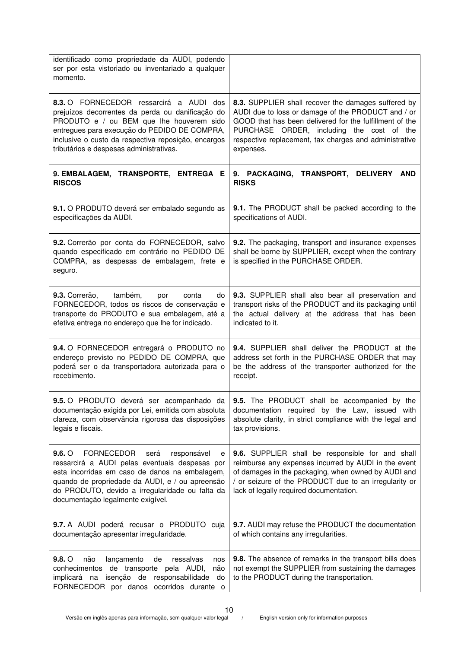| identificado como propriedade da AUDI, podendo<br>ser por esta vistoriado ou inventariado a qualquer<br>momento.                                                                                                                                                                                               |                                                                                                                                                                                                                                                                                          |
|----------------------------------------------------------------------------------------------------------------------------------------------------------------------------------------------------------------------------------------------------------------------------------------------------------------|------------------------------------------------------------------------------------------------------------------------------------------------------------------------------------------------------------------------------------------------------------------------------------------|
| 8.3. O FORNECEDOR ressarcirá a AUDI dos<br>prejuízos decorrentes da perda ou danificação do<br>PRODUTO e / ou BEM que lhe houverem sido<br>entregues para execução do PEDIDO DE COMPRA,<br>inclusive o custo da respectiva reposição, encargos<br>tributários e despesas administrativas.                      | 8.3. SUPPLIER shall recover the damages suffered by<br>AUDI due to loss or damage of the PRODUCT and / or<br>GOOD that has been delivered for the fulfillment of the<br>PURCHASE ORDER, including the cost of the<br>respective replacement, tax charges and administrative<br>expenses. |
| 9. EMBALAGEM, TRANSPORTE, ENTREGA E<br><b>RISCOS</b>                                                                                                                                                                                                                                                           | 9. PACKAGING, TRANSPORT, DELIVERY<br><b>AND</b><br><b>RISKS</b>                                                                                                                                                                                                                          |
| 9.1. O PRODUTO deverá ser embalado segundo as<br>especificações da AUDI.                                                                                                                                                                                                                                       | 9.1. The PRODUCT shall be packed according to the<br>specifications of AUDI.                                                                                                                                                                                                             |
| 9.2. Correrão por conta do FORNECEDOR, salvo<br>quando especificado em contrário no PEDIDO DE<br>COMPRA, as despesas de embalagem, frete e<br>seguro.                                                                                                                                                          | 9.2. The packaging, transport and insurance expenses<br>shall be borne by SUPPLIER, except when the contrary<br>is specified in the PURCHASE ORDER.                                                                                                                                      |
| 9.3. Correrão,<br>também,<br>conta<br>do<br>por<br>FORNECEDOR, todos os riscos de conservação e<br>transporte do PRODUTO e sua embalagem, até a<br>efetiva entrega no endereço que lhe for indicado.                                                                                                           | 9.3. SUPPLIER shall also bear all preservation and<br>transport risks of the PRODUCT and its packaging until<br>the actual delivery at the address that has been<br>indicated to it.                                                                                                     |
| 9.4. O FORNECEDOR entregará o PRODUTO no<br>endereço previsto no PEDIDO DE COMPRA, que<br>poderá ser o da transportadora autorizada para o<br>recebimento.                                                                                                                                                     | 9.4. SUPPLIER shall deliver the PRODUCT at the<br>address set forth in the PURCHASE ORDER that may<br>be the address of the transporter authorized for the<br>receipt.                                                                                                                   |
| 9.5. O PRODUTO deverá ser acompanhado da<br>documentação exigida por Lei, emitida com absoluta<br>clareza, com observância rigorosa das disposições<br>legais e fiscais.                                                                                                                                       | <b>9.5.</b> The PRODUCT shall be accompanied by the<br>documentation required by the Law, issued with<br>absolute clarity, in strict compliance with the legal and<br>tax provisions.                                                                                                    |
| $9.6.$ $\circ$<br><b>FORNECEDOR</b><br>será<br>responsável<br>е<br>ressarcirá a AUDI pelas eventuais despesas por<br>esta incorridas em caso de danos na embalagem,<br>quando de propriedade da AUDI, e / ou apreensão<br>do PRODUTO, devido a irregularidade ou falta da<br>documentação legalmente exigível. | 9.6. SUPPLIER shall be responsible for and shall<br>reimburse any expenses incurred by AUDI in the event<br>of damages in the packaging, when owned by AUDI and<br>/ or seizure of the PRODUCT due to an irregularity or<br>lack of legally required documentation.                      |
| 9.7. A AUDI poderá recusar o PRODUTO cuja<br>documentação apresentar irregularidade.                                                                                                                                                                                                                           | 9.7. AUDI may refuse the PRODUCT the documentation<br>of which contains any irregularities.                                                                                                                                                                                              |
| $9.8.$ O<br>não<br>lançamento<br>ressalvas<br>de<br>nos<br>conhecimentos de transporte pela AUDI,<br>não<br>isenção de responsabilidade<br>do<br>implicará na<br>FORNECEDOR por danos<br>ocorridos durante o                                                                                                   | 9.8. The absence of remarks in the transport bills does<br>not exempt the SUPPLIER from sustaining the damages<br>to the PRODUCT during the transportation.                                                                                                                              |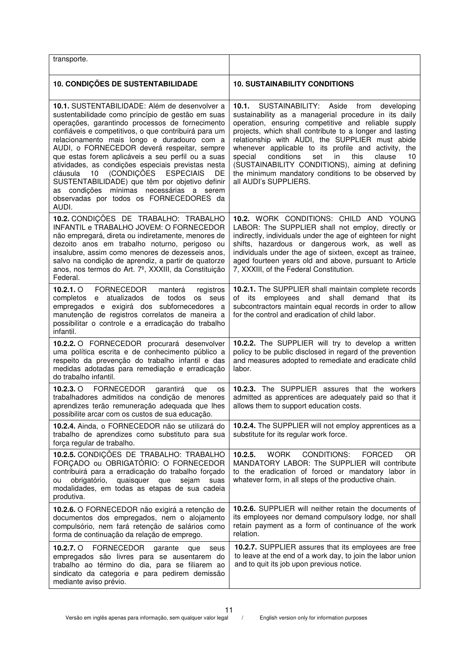| transporte.                                                                                                                                                                                                                                                                                                                                                                                                                                                                                                                                                                                                           |                                                                                                                                                                                                                                                                                                                                                                                                                                                                                                                                             |
|-----------------------------------------------------------------------------------------------------------------------------------------------------------------------------------------------------------------------------------------------------------------------------------------------------------------------------------------------------------------------------------------------------------------------------------------------------------------------------------------------------------------------------------------------------------------------------------------------------------------------|---------------------------------------------------------------------------------------------------------------------------------------------------------------------------------------------------------------------------------------------------------------------------------------------------------------------------------------------------------------------------------------------------------------------------------------------------------------------------------------------------------------------------------------------|
| <b>10. CONDIÇÕES DE SUSTENTABILIDADE</b>                                                                                                                                                                                                                                                                                                                                                                                                                                                                                                                                                                              | <b>10. SUSTAINABILITY CONDITIONS</b>                                                                                                                                                                                                                                                                                                                                                                                                                                                                                                        |
| 10.1. SUSTENTABILIDADE: Além de desenvolver a<br>sustentabilidade como princípio de gestão em suas<br>operações, garantindo processos de fornecimento<br>confiáveis e competitivos, o que contribuirá para um<br>relacionamento mais longo e duradouro com a<br>AUDI, o FORNECEDOR deverá respeitar, sempre<br>que estas forem aplicáveis a seu perfil ou a suas<br>atividades, as condições especiais previstas nesta<br>(CONDIÇÕES ESPECIAIS<br>cláusula 10<br>DE<br>SUSTENTABILIDADE) que têm por objetivo definir<br>as condições mínimas necessárias a serem<br>observadas por todos os FORNECEDORES da<br>AUDI. | SUSTAINABILITY: Aside<br>10.1.<br>from<br>developing<br>sustainability as a managerial procedure in its daily<br>operation, ensuring competitive and reliable supply<br>projects, which shall contribute to a longer and lasting<br>relationship with AUDI, the SUPPLIER must abide<br>whenever applicable to its profile and activity, the<br>special<br>conditions<br>in<br>clause<br>set<br>this<br>10<br>(SUSTAINABILITY CONDITIONS), aiming at defining<br>the minimum mandatory conditions to be observed by<br>all AUDI's SUPPLIERS. |
| 10.2. CONDIÇÕES DE TRABALHO: TRABALHO<br>INFANTIL e TRABALHO JOVEM: O FORNECEDOR<br>não empregará, direta ou indiretamente, menores de<br>dezoito anos em trabalho noturno, perigoso ou<br>insalubre, assim como menores de dezesseis anos,<br>salvo na condição de aprendiz, a partir de quatorze<br>anos, nos termos do Art. 7º, XXXIII, da Constituição<br>Federal.                                                                                                                                                                                                                                                | 10.2. WORK CONDITIONS: CHILD AND YOUNG<br>LABOR: The SUPPLIER shall not employ, directly or<br>indirectly, individuals under the age of eighteen for night<br>shifts, hazardous or dangerous work, as well as<br>individuals under the age of sixteen, except as trainee,<br>aged fourteen years old and above, pursuant to Article<br>7, XXXIII, of the Federal Constitution.                                                                                                                                                              |
| $10.2.1.$ O<br><b>FORNECEDOR</b><br>manterá<br>registros<br>completos e atualizados de todos os seus<br>empregados e exigirá dos subfornecedores a<br>manutenção de registros correlatos de maneira a<br>possibilitar o controle e a erradicação do trabalho<br>infantil.                                                                                                                                                                                                                                                                                                                                             | 10.2.1. The SUPPLIER shall maintain complete records<br>of its employees and shall demand that its<br>subcontractors maintain equal records in order to allow<br>for the control and eradication of child labor.                                                                                                                                                                                                                                                                                                                            |
| 10.2.2. O FORNECEDOR procurará desenvolver<br>uma política escrita e de conhecimento público a<br>respeito da prevenção do trabalho infantil e das<br>medidas adotadas para remediação e erradicação<br>do trabalho infantil.                                                                                                                                                                                                                                                                                                                                                                                         | 10.2.2. The SUPPLIER will try to develop a written<br>policy to be public disclosed in regard of the prevention<br>and measures adopted to remediate and eradicate child<br>labor.                                                                                                                                                                                                                                                                                                                                                          |
| 10.2.3. $\circ$<br><b>FORNECEDOR</b><br>garantirá<br>que<br>os<br>trabalhadores admitidos na condição de menores<br>aprendizes terão remuneração adequada que lhes<br>possibilite arcar com os custos de sua educação.                                                                                                                                                                                                                                                                                                                                                                                                | 10.2.3. The SUPPLIER assures that the workers<br>admitted as apprentices are adequately paid so that it<br>allows them to support education costs.                                                                                                                                                                                                                                                                                                                                                                                          |
| 10.2.4. Ainda, o FORNECEDOR não se utilizará do<br>trabalho de aprendizes como substituto para sua<br>força regular de trabalho.                                                                                                                                                                                                                                                                                                                                                                                                                                                                                      | 10.2.4. The SUPPLIER will not employ apprentices as a<br>substitute for its regular work force.                                                                                                                                                                                                                                                                                                                                                                                                                                             |
| 10.2.5. CONDIÇÕES DE TRABALHO: TRABALHO<br>FORÇADO ou OBRIGATÓRIO: O FORNECEDOR<br>contribuirá para a erradicação do trabalho forçado<br>obrigatório, quaisquer que<br>sejam<br>suas<br>ou<br>modalidades, em todas as etapas de sua cadeia<br>produtiva.                                                                                                                                                                                                                                                                                                                                                             | <b>CONDITIONS:</b><br>10.2.5.<br><b>WORK</b><br><b>FORCED</b><br>OR.<br>MANDATORY LABOR: The SUPPLIER will contribute<br>to the eradication of forced or mandatory labor in<br>whatever form, in all steps of the productive chain.                                                                                                                                                                                                                                                                                                         |
| 10.2.6. O FORNECEDOR não exigirá a retenção de<br>documentos dos empregados, nem o alojamento<br>compulsório, nem fará retenção de salários como<br>forma de continuação da relação de emprego.                                                                                                                                                                                                                                                                                                                                                                                                                       | 10.2.6. SUPPLIER will neither retain the documents of<br>its employees nor demand compulsory lodge, nor shall<br>retain payment as a form of continuance of the work<br>relation.                                                                                                                                                                                                                                                                                                                                                           |
| 10.2.7. O FORNECEDOR<br>garante<br>que<br>seus<br>empregados são livres para se ausentarem do<br>trabalho ao término do dia, para se filiarem ao<br>sindicato da categoria e para pedirem demissão<br>mediante aviso prévio.                                                                                                                                                                                                                                                                                                                                                                                          | 10.2.7. SUPPLIER assures that its employees are free<br>to leave at the end of a work day, to join the labor union<br>and to quit its job upon previous notice.                                                                                                                                                                                                                                                                                                                                                                             |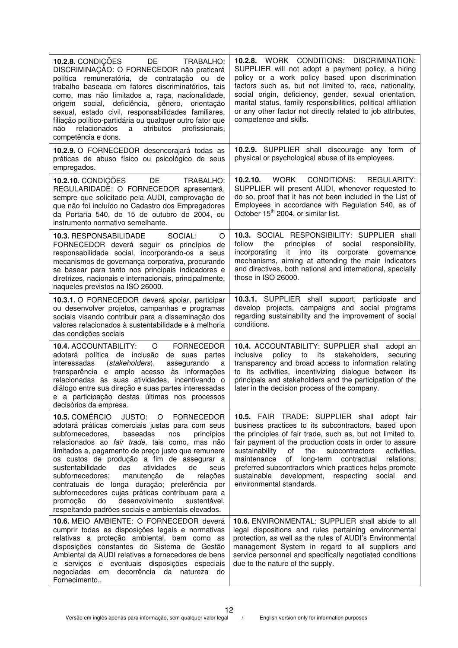| 10.2.8. CONDIÇÕES DE<br>TRABALHO:<br>DISCRIMINAÇÃO: O FORNECEDOR não praticará<br>política remuneratória, de contratação ou de<br>trabalho baseada em fatores discriminatórios, tais<br>como, mas não limitados a, raça, nacionalidade,<br>social, deficiência,<br>gênero, orientação<br>origem<br>sexual, estado civil, responsabilidades familiares,<br>filiação político-partidária ou qualquer outro fator que<br>relacionados<br>atributos<br>profissionais,<br>não<br>a<br>competência e dons.                                                                                                                            | 10.2.8. WORK CONDITIONS: DISCRIMINATION:<br>SUPPLIER will not adopt a payment policy, a hiring<br>policy or a work policy based upon discrimination<br>factors such as, but not limited to, race, nationality,<br>social origin, deficiency, gender, sexual orientation,<br>marital status, family responsibilities, political affiliation<br>or any other factor not directly related to job attributes,<br>competence and skills.                                                                    |
|---------------------------------------------------------------------------------------------------------------------------------------------------------------------------------------------------------------------------------------------------------------------------------------------------------------------------------------------------------------------------------------------------------------------------------------------------------------------------------------------------------------------------------------------------------------------------------------------------------------------------------|--------------------------------------------------------------------------------------------------------------------------------------------------------------------------------------------------------------------------------------------------------------------------------------------------------------------------------------------------------------------------------------------------------------------------------------------------------------------------------------------------------|
| 10.2.9. O FORNECEDOR desencorajará todas as<br>práticas de abuso físico ou psicológico de seus<br>empregados.                                                                                                                                                                                                                                                                                                                                                                                                                                                                                                                   | 10.2.9. SUPPLIER shall discourage any form of<br>physical or psychological abuse of its employees.                                                                                                                                                                                                                                                                                                                                                                                                     |
| 10.2.10. CONDIÇÕES<br>DE<br>TRABALHO:<br>REGULARIDADE: O FORNECEDOR apresentará,<br>sempre que solicitado pela AUDI, comprovação de<br>que não foi incluído no Cadastro dos Empregadores<br>da Portaria 540, de 15 de outubro de 2004, ou<br>instrumento normativo semelhante.                                                                                                                                                                                                                                                                                                                                                  | 10.2.10.<br>WORK<br>CONDITIONS:<br>REGULARITY:<br>SUPPLIER will present AUDI, whenever requested to<br>do so, proof that it has not been included in the List of<br>Employees in accordance with Regulation 540, as of<br>October 15 <sup>th</sup> 2004, or similar list.                                                                                                                                                                                                                              |
| 10.3. RESPONSABILIDADE<br>SOCIAL:<br>O<br>FORNECEDOR deverá seguir os princípios de<br>responsabilidade social, incorporando-os a seus<br>mecanismos de governança corporativa, procurando<br>se basear para tanto nos principais indicadores e<br>diretrizes, nacionais e internacionais, principalmente,<br>naqueles previstos na ISO 26000.                                                                                                                                                                                                                                                                                  | 10.3. SOCIAL RESPONSIBILITY: SUPPLIER shall<br>the<br>principles<br>of<br>follow<br>social<br>responsibility,<br>it<br>into its<br>corporate governance<br>incorporating<br>mechanisms, aiming at attending the main indicators<br>and directives, both national and international, specially<br>those in ISO 26000.                                                                                                                                                                                   |
| 10.3.1. O FORNECEDOR deverá apoiar, participar<br>ou desenvolver projetos, campanhas e programas<br>sociais visando contribuir para a disseminação dos<br>valores relacionados à sustentabilidade e à melhoria<br>das condições sociais                                                                                                                                                                                                                                                                                                                                                                                         | 10.3.1. SUPPLIER shall support, participate and<br>develop projects, campaigns and social programs<br>regarding sustainability and the improvement of social<br>conditions.                                                                                                                                                                                                                                                                                                                            |
| <b>10.4. ACCOUNTABILITY:</b><br><b>FORNECEDOR</b><br>$\circ$<br>adotará política de inclusão<br>de suas partes<br>interessadas<br>(stakeholders),<br>assegurando<br>a<br>transparência e amplo acesso às informações<br>relacionadas às suas atividades, incentivando o<br>diálogo entre sua direção e suas partes interessadas<br>e a participação destas últimas nos processos<br>decisórios da empresa.                                                                                                                                                                                                                      | 10.4. ACCOUNTABILITY: SUPPLIER shall adopt an<br>stakeholders,<br>inclusive<br>policy to<br>its<br>securing<br>transparency and broad access to information relating<br>to its activities, incentivizing dialogue between its<br>principals and stakeholders and the participation of the<br>later in the decision process of the company.                                                                                                                                                             |
| 10.5. COMÉRCIO<br>JUSTO: O FORNECEDOR<br>adotará práticas comerciais justas para com seus<br>subfornecedores,<br>baseadas<br>nos<br>princípios<br>relacionados ao fair trade, tais como, mas não<br>limitados a, pagamento de preço justo que remunere<br>os custos de produção a fim de assegurar a<br>sustentabilidade<br>das<br>atividades<br>de<br>seus<br>subfornecedores;<br>manutenção<br>de<br>relações<br>contratuais de longa duração; preferência por<br>subfornecedores cujas práticas contribuam para a<br>desenvolvimento<br>sustentável,<br>promoção<br>do<br>respeitando padrões sociais e ambientais elevados. | 10.5. FAIR TRADE: SUPPLIER shall adopt fair<br>business practices to its subcontractors, based upon<br>the principles of fair trade, such as, but not limited to,<br>fair payment of the production costs in order to assure<br>sustainability<br>the<br>subcontractors<br>of<br>activities,<br>maintenance<br>of<br>long-term contractual<br>relations;<br>preferred subcontractors which practices helps promote<br>sustainable development, respecting<br>social<br>and<br>environmental standards. |
| 10.6. MEIO AMBIENTE: O FORNECEDOR deverá<br>cumprir todas as disposições legais e normativas<br>relativas a proteção ambiental, bem como as<br>disposições constantes do Sistema de Gestão<br>Ambiental da AUDI relativas a fornecedores de bens<br>e serviços e eventuais disposições especiais<br>negociadas em decorrência da natureza do<br>Fornecimento                                                                                                                                                                                                                                                                    | <b>10.6. ENVIRONMENTAL: SUPPLIER shall abide to all</b><br>legal dispositions and rules pertaining environmental<br>protection, as well as the rules of AUDI's Environmental<br>management System in regard to all suppliers and<br>service personnel and specifically negotiated conditions<br>due to the nature of the supply.                                                                                                                                                                       |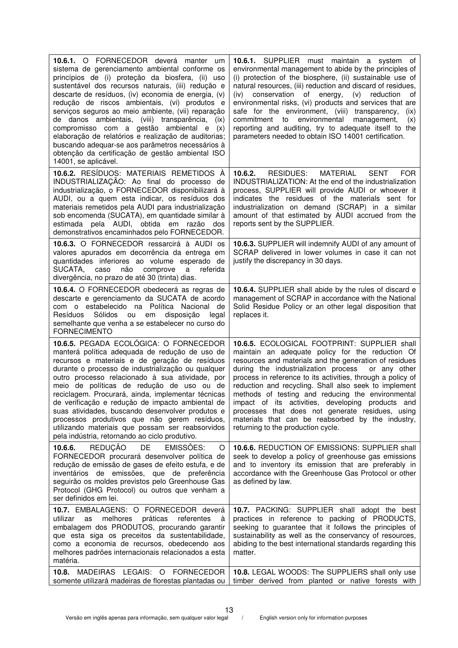| 10.6.1. O FORNECEDOR deverá manter um<br>sistema de gerenciamento ambiental conforme os<br>princípios de (i) proteção da biosfera, (ii) uso<br>sustentável dos recursos naturais, (iii) redução e<br>descarte de resíduos, (iv) economia de energia, (v)<br>redução de riscos ambientais, (vi) produtos e<br>serviços seguros ao meio ambiente, (vii) reparação<br>de danos ambientais, (viii) transparência,<br>(ix)<br>compromisso com a gestão ambiental e<br>(x)<br>elaboração de relatórios e realização de auditorias;<br>buscando adequar-se aos parâmetros necessários à<br>obtenção da certificação de gestão ambiental ISO<br>14001, se aplicável. | 10.6.1. SUPPLIER must maintain a system of<br>environmental management to abide by the principles of<br>(i) protection of the biosphere, (ii) sustainable use of<br>natural resources, (iii) reduction and discard of residues,<br>(iv) conservation of energy,<br>$(v)$ reduction<br>οf<br>environmental risks, (vi) products and services that are<br>safe for the environment, (viii) transparency,<br>(ix)<br>commitment<br>to<br>environmental<br>management,<br>(x)<br>reporting and auditing, try to adequate itself to the<br>parameters needed to obtain ISO 14001 certification.          |
|--------------------------------------------------------------------------------------------------------------------------------------------------------------------------------------------------------------------------------------------------------------------------------------------------------------------------------------------------------------------------------------------------------------------------------------------------------------------------------------------------------------------------------------------------------------------------------------------------------------------------------------------------------------|-----------------------------------------------------------------------------------------------------------------------------------------------------------------------------------------------------------------------------------------------------------------------------------------------------------------------------------------------------------------------------------------------------------------------------------------------------------------------------------------------------------------------------------------------------------------------------------------------------|
| 10.6.2. RESÍDUOS: MATERIAIS REMETIDOS À<br>INDUSTRIALIZAÇÃO: Ao final do processo de<br>industrialização, o FORNECEDOR disponibilizará à<br>AUDI, ou a quem esta indicar, os resíduos dos<br>materiais remetidos pela AUDI para industrialização<br>sob encomenda (SUCATA), em quantidade similar à<br>estimada pela AUDI, obtida em razão dos<br>demonstrativos encaminhados pelo FORNECEDOR.                                                                                                                                                                                                                                                               | 10.6.2.<br>RESIDUES:<br><b>MATERIAL</b><br><b>SENT</b><br><b>FOR</b><br>INDUSTRIALIZATION: At the end of the industrialization<br>process, SUPPLIER will provide AUDI or whoever it<br>indicates the residues of the materials sent for<br>industrialization on demand (SCRAP) in a similar<br>amount of that estimated by AUDI accrued from the<br>reports sent by the SUPPLIER.                                                                                                                                                                                                                   |
| 10.6.3. O FORNECEDOR ressarcirá à AUDI os<br>valores apurados em decorrência da entrega em<br>quantidades inferiores ao volume esperado de<br>SUCATA,<br>caso<br>não<br>comprove<br>a<br>referida<br>divergência, no prazo de até 30 (trinta) dias.                                                                                                                                                                                                                                                                                                                                                                                                          | 10.6.3. SUPPLIER will indemnify AUDI of any amount of<br>SCRAP delivered in lower volumes in case it can not<br>justify the discrepancy in 30 days.                                                                                                                                                                                                                                                                                                                                                                                                                                                 |
| 10.6.4. O FORNECEDOR obedecerá as regras de<br>descarte e gerenciamento da SUCATA de acordo<br>com o estabelecido na Política Nacional de<br>Resíduos<br>Sólidos<br>disposição<br>ou<br>legal<br>em<br>semelhante que venha a se estabelecer no curso do<br><b>FORNECIMENTO</b>                                                                                                                                                                                                                                                                                                                                                                              | 10.6.4. SUPPLIER shall abide by the rules of discard e<br>management of SCRAP in accordance with the National<br>Solid Residue Policy or an other legal disposition that<br>replaces it.                                                                                                                                                                                                                                                                                                                                                                                                            |
| 10.6.5. PEGADA ECOLÓGICA: O FORNECEDOR<br>manterá política adequada de redução de uso de<br>recursos e materiais e de geração de resíduos<br>durante o processo de industrialização ou qualquer<br>outro processo relacionado à sua atividade, por<br>meio de políticas de redução de uso ou de<br>reciclagem. Procurará, ainda, implementar técnicas<br>de verificação e redução de impacto ambiental de<br>suas atividades, buscando desenvolver produtos e<br>processos produtivos que não gerem resíduos,<br>utilizando materiais que possam ser reabsorvidos<br>pela indústria, retornando ao ciclo produtivo.                                          | 10.6.5. ECOLOGICAL FOOTPRINT: SUPPLIER shall<br>maintain an adequate policy for the reduction Of<br>resources and materials and the generation of residues<br>during the industrialization process<br>or any other<br>process in reference to its activities, through a policy of<br>reduction and recycling. Shall also seek to implement<br>methods of testing and reducing the environmental<br>impact of its activities, developing products and<br>processes that does not generate residues, using<br>materials that can be reabsorbed by the industry,<br>returning to the production cycle. |
| <b>REDUÇÃO</b><br>DE<br>10.6.6.<br><b>EMISSOES:</b><br>O<br>FORNECEDOR procurará desenvolver política de<br>redução de emissão de gases de efeito estufa, e de<br>inventários de emissões, que de preferência<br>seguirão os moldes previstos pelo Greenhouse Gas<br>Protocol (GHG Protocol) ou outros que venham a<br>ser definidos em lei.                                                                                                                                                                                                                                                                                                                 | 10.6.6. REDUCTION OF EMISSIONS: SUPPLIER shall<br>seek to develop a policy of greenhouse gas emissions<br>and to inventory its emission that are preferably in<br>accordance with the Greenhouse Gas Protocol or other<br>as defined by law.                                                                                                                                                                                                                                                                                                                                                        |
| 10.7. EMBALAGENS: O FORNECEDOR deverá<br>melhores práticas<br>referentes<br>à<br>utilizar<br>as<br>embalagem dos PRODUTOS, procurando garantir<br>que esta siga os preceitos da sustentabilidade,<br>como a economia de recursos, obedecendo aos<br>melhores padrões internacionais relacionados a esta<br>matéria.                                                                                                                                                                                                                                                                                                                                          | 10.7. PACKING: SUPPLIER shall adopt the best<br>practices in reference to packing of PRODUCTS,<br>seeking to guarantee that it follows the principles of<br>sustainability as well as the conservancy of resources,<br>abiding to the best international standards regarding this<br>matter.                                                                                                                                                                                                                                                                                                        |
| MADEIRAS LEGAIS: O FORNECEDOR<br>10.8.<br>somente utilizará madeiras de florestas plantadas ou                                                                                                                                                                                                                                                                                                                                                                                                                                                                                                                                                               | 10.8. LEGAL WOODS: The SUPPLIERS shall only use<br>timber derived from planted or native forests with                                                                                                                                                                                                                                                                                                                                                                                                                                                                                               |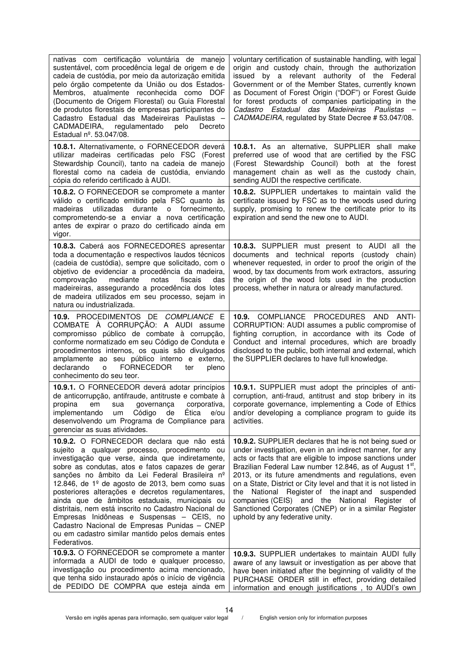| nativas com certificação voluntária de manejo<br>sustentável, com procedência legal de origem e de<br>cadeia de custódia, por meio da autorização emitida<br>pelo órgão competente da União ou dos Estados-<br>Membros, atualmente reconhecida como DOF<br>(Documento de Origem Florestal) ou Guia Florestal<br>de produtos florestais de empresas participantes do<br>Cadastro Estadual das Madeireiras Paulistas -<br>CADMADEIRA, regulamentado<br>pelo<br>Decreto<br>Estadual nº. 53.047/08.                                                                                                                                                 | voluntary certification of sustainable handling, with legal<br>origin and custody chain, through the authorization<br>issued by a relevant authority of the Federal<br>Government or of the Member States, currently known<br>as Document of Forest Origin ("DOF") or Forest Guide<br>for forest products of companies participating in the<br>Cadastro Estadual das Madeireiras Paulistas -<br>CADMADEIRA, regulated by State Decree # 53.047/08.                                                                                                                                    |
|-------------------------------------------------------------------------------------------------------------------------------------------------------------------------------------------------------------------------------------------------------------------------------------------------------------------------------------------------------------------------------------------------------------------------------------------------------------------------------------------------------------------------------------------------------------------------------------------------------------------------------------------------|---------------------------------------------------------------------------------------------------------------------------------------------------------------------------------------------------------------------------------------------------------------------------------------------------------------------------------------------------------------------------------------------------------------------------------------------------------------------------------------------------------------------------------------------------------------------------------------|
| 10.8.1. Alternativamente, o FORNECEDOR deverá<br>utilizar madeiras certificadas pelo FSC (Forest<br>Stewardship Council), tanto na cadeia de manejo<br>florestal como na cadeia de custódia, enviando<br>cópia do referido certificado à AUDI.                                                                                                                                                                                                                                                                                                                                                                                                  | 10.8.1. As an alternative, SUPPLIER shall make<br>preferred use of wood that are certified by the FSC<br>(Forest Stewardship Council) both at the forest<br>management chain as well as the custody chain,<br>sending AUDI the respective certificate.                                                                                                                                                                                                                                                                                                                                |
| 10.8.2. O FORNECEDOR se compromete a manter<br>válido o certificado emitido pela FSC quanto às<br>utilizadas<br>durante o fornecimento,<br>madeiras<br>comprometendo-se a enviar a nova certificação<br>antes de expirar o prazo do certificado ainda em<br>vigor.                                                                                                                                                                                                                                                                                                                                                                              | <b>10.8.2.</b> SUPPLIER undertakes to maintain valid the<br>certificate issued by FSC as to the woods used during<br>supply, promising to renew the certificate prior to its<br>expiration and send the new one to AUDI.                                                                                                                                                                                                                                                                                                                                                              |
| 10.8.3. Caberá aos FORNECEDORES apresentar<br>toda a documentação e respectivos laudos técnicos<br>(cadeia de custódia), sempre que solicitado, com o<br>objetivo de evidenciar a procedência da madeira,<br>comprovação<br>mediante<br>fiscais<br>notas<br>das<br>madeireiras, assegurando a procedência dos lotes<br>de madeira utilizados em seu processo, sejam in<br>natura ou industrializada.                                                                                                                                                                                                                                            | 10.8.3. SUPPLIER must present to AUDI all the<br>documents and technical reports (custody chain)<br>whenever requested, in order to proof the origin of the<br>wood, by tax documents from work extractors, assuring<br>the origin of the wood lots used in the production<br>process, whether in natura or already manufactured.                                                                                                                                                                                                                                                     |
| 10.9. PROCEDIMENTOS DE COMPLIANCE E<br>COMBATE À CORRUPÇÃO: A AUDI assume<br>compromisso público de combate à corrupção,<br>conforme normatizado em seu Código de Conduta e<br>procedimentos internos, os quais são divulgados<br>amplamente ao seu público interno e externo,<br>declarando<br><b>FORNECEDOR</b><br>o<br>ter<br>pleno<br>conhecimento do seu teor.                                                                                                                                                                                                                                                                             | 10.9. COMPLIANCE PROCEDURES AND<br>ANTI-<br>CORRUPTION: AUDI assumes a public compromise of<br>fighting corruption, in accordance with its Code of<br>Conduct and internal procedures, which are broadly<br>disclosed to the public, both internal and external, which<br>the SUPPLIER declares to have full knowledge.                                                                                                                                                                                                                                                               |
| 10.9.1. O FORNECEDOR deverá adotar princípios<br>de anticorrupção, antifraude, antitruste e combate à<br>governança<br>corporativa,<br>propina<br>em<br>sua<br>de Ética<br>implementando<br>Código<br>um<br>e/ou<br>desenvolvendo um Programa de Compliance para<br>gerenciar as suas atividades.                                                                                                                                                                                                                                                                                                                                               | 10.9.1. SUPPLIER must adopt the principles of anti-<br>corruption, anti-fraud, antitrust and stop bribery in its<br>corporate governance, implementing a Code of Ethics<br>and/or developing a compliance program to guide its<br>activities.                                                                                                                                                                                                                                                                                                                                         |
| 10.9.2. O FORNECEDOR declara que não está<br>sujeito a qualquer processo, procedimento ou<br>investigação que verse, ainda que indiretamente,<br>sobre as condutas, atos e fatos capazes de gerar<br>sanções no âmbito da Lei Federal Brasileira nº<br>12.846, de $1^{\circ}$ de agosto de 2013, bem como suas<br>posteriores alterações e decretos regulamentares,<br>ainda que de âmbitos estaduais, municipais ou<br>distritais, nem está inscrito no Cadastro Nacional de<br>Empresas Inidôneas e Suspensas - CEIS, no<br>Cadastro Nacional de Empresas Punidas - CNEP<br>ou em cadastro similar mantido pelos demais entes<br>Federativos. | 10.9.2. SUPPLIER declares that he is not being sued or<br>under investigation, even in an indirect manner, for any<br>acts or facts that are eligible to impose sanctions under<br>Brazilian Federal Law number 12.846, as of August 1 <sup>st</sup> ,<br>2013, or its future amendments and regulations, even<br>on a State, District or City level and that it is not listed in<br>National Register of the inapt and suspended<br>the<br>companies (CEIS) and the National Register of<br>Sanctioned Corporates (CNEP) or in a similar Register<br>uphold by any federative unity. |
| 10.9.3. O FORNECEDOR se compromete a manter<br>informada a AUDI de todo e qualquer processo,<br>investigação ou procedimento acima mencionado,<br>que tenha sido instaurado após o início de vigência<br>de PEDIDO DE COMPRA que esteja ainda em                                                                                                                                                                                                                                                                                                                                                                                                | 10.9.3. SUPPLIER undertakes to maintain AUDI fully<br>aware of any lawsuit or investigation as per above that<br>have been initiated after the beginning of validity of the<br>PURCHASE ORDER still in effect, providing detailed<br>information and enough justifications, to AUDI's own                                                                                                                                                                                                                                                                                             |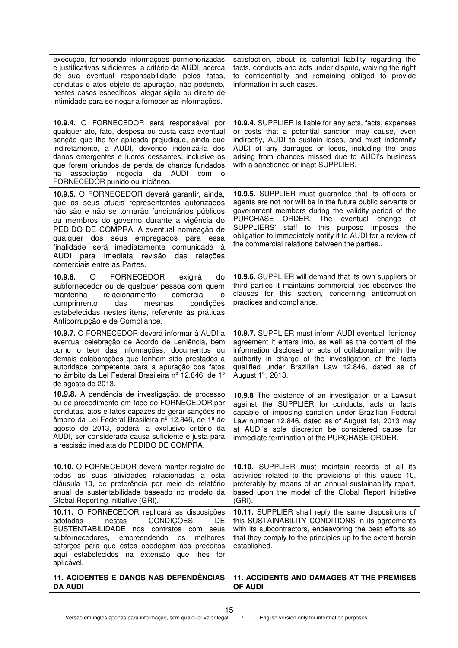| execução, fornecendo informações pormenorizadas<br>e justificativas suficientes, a critério da AUDI, acerca<br>de sua eventual responsabilidade pelos fatos,<br>condutas e atos objeto de apuração, não podendo,<br>nestes casos específicos, alegar sigilo ou direito de<br>intimidade para se negar a fornecer as informações.                                                                              | satisfaction, about its potential liability regarding the<br>facts, conducts and acts under dispute, waiving the right<br>to confidentiality and remaining obliged to provide<br>information in such cases.                                                                                                                                                                                      |
|---------------------------------------------------------------------------------------------------------------------------------------------------------------------------------------------------------------------------------------------------------------------------------------------------------------------------------------------------------------------------------------------------------------|--------------------------------------------------------------------------------------------------------------------------------------------------------------------------------------------------------------------------------------------------------------------------------------------------------------------------------------------------------------------------------------------------|
| 10.9.4. O FORNECEDOR será responsável por<br>qualquer ato, fato, despesa ou custa caso eventual<br>sanção que lhe for aplicada prejudique, ainda que<br>indiretamente, a AUDI, devendo indenizá-la dos<br>danos emergentes e lucros cessantes, inclusive os<br>que forem oriundos de perda de chance fundados<br>negocial<br>da AUDI<br>associação<br>com<br>na<br>$\circ$<br>FORNECEDOR punido ou inidôneo.  | 10.9.4. SUPPLIER is liable for any acts, facts, expenses<br>or costs that a potential sanction may cause, even<br>indirectly, AUDI to sustain loses, and must indemnify<br>AUDI of any damages or loses, including the ones<br>arising from chances missed due to AUDI's business<br>with a sanctioned or inapt SUPPLIER.                                                                        |
| 10.9.5. O FORNECEDOR deverá garantir, ainda,<br>que os seus atuais representantes autorizados<br>não são e não se tornarão funcionários públicos<br>ou membros do governo durante a vigência do<br>PEDIDO DE COMPRA. A eventual nomeação de<br>qualquer dos seus empregados para essa<br>finalidade será imediatamente comunicada à<br>AUDI para imediata revisão das relações<br>comerciais entre as Partes. | 10.9.5. SUPPLIER must guarantee that its officers or<br>agents are not nor will be in the future public servants or<br>government members during the validity period of the<br>ORDER.<br>PURCHASE<br>The eventual<br>change<br>οf<br>SUPPLIERS' staff to this purpose imposes the<br>obligation to immediately notify it to AUDI for a review of<br>the commercial relations between the parties |
| FORNECEDOR<br>10.9.6.<br>$\circ$<br>exigirá<br>do<br>subfornecedor ou de qualquer pessoa com quem<br>relacionamento<br>comercial<br>mantenha<br>$\circ$<br>cumprimento<br>condições<br>das<br>mesmas<br>estabelecidas nestes itens, referente às práticas<br>Anticorrupção e de Compliance.                                                                                                                   | 10.9.6. SUPPLIER will demand that its own suppliers or<br>third parties it maintains commercial ties observes the<br>clauses for this section, concerning anticorruption<br>practices and compliance.                                                                                                                                                                                            |
| 10.9.7. O FORNECEDOR deverá informar à AUDI a<br>eventual celebração de Acordo de Leniência, bem<br>como o teor das informações, documentos ou<br>demais colaborações que tenham sido prestados à<br>autoridade competente para a apuração dos fatos<br>no âmbito da Lei Federal Brasileira nº 12.846, de 1º<br>de agosto de 2013.                                                                            | 10.9.7. SUPPLIER must inform AUDI eventual leniency<br>agreement it enters into, as well as the content of the<br>information disclosed or acts of collaboration with the<br>authority in charge of the investigation of the facts<br>qualified under Brazilian Law 12.846, dated as of<br>August 1 <sup>st</sup> , 2013.                                                                        |
| 10.9.8. A pendência de investigação, de processo<br>ou de procedimento em face do FORNECEDOR por<br>condutas, atos e fatos capazes de gerar sanções no<br>âmbito da Lei Federal Brasileira nº 12.846, de 1º de<br>agosto de 2013, poderá, a exclusivo critério da<br>AUDI, ser considerada causa suficiente e justa para<br>a rescisão imediata do PEDIDO DE COMPRA.                                          | 10.9.8 The existence of an investigation or a Lawsuit<br>against the SUPPLIER for conducts, acts or facts<br>capable of imposing sanction under Brazilian Federal<br>Law number 12.846, dated as of August 1st, 2013 may<br>at AUDI's sole discretion be considered cause for<br>immediate termination of the PURCHASE ORDER.                                                                    |
| 10.10. O FORNECEDOR deverá manter registro de<br>todas as suas atividades relacionadas a esta<br>cláusula 10, de preferência por meio de relatório<br>anual de sustentabilidade baseado no modelo da<br>Global Reporting Initiative (GRI).                                                                                                                                                                    | 10.10. SUPPLIER must maintain records of all its<br>activities related to the provisions of this clause 10,<br>preferably by means of an annual sustainability report,<br>based upon the model of the Global Report Initiative<br>$(GRI)$ .                                                                                                                                                      |
| 10.11. O FORNECEDOR replicará as disposições<br><b>CONDIÇÕES</b><br>DE<br>adotadas<br>nestas<br>SUSTENTABILIDADE nos contratos com seus<br>empreendendo<br>melhores<br>subfornecedores,<br><b>OS</b><br>esforços para que estes obedeçam aos preceitos<br>aqui estabelecidos na extensão que lhes for<br>aplicável.                                                                                           | 10.11. SUPPLIER shall reply the same dispositions of<br>this SUSTAINABILITY CONDITIONS in its agreements<br>with its subcontractors, endeavoring the best efforts so<br>that they comply to the principles up to the extent herein<br>established.                                                                                                                                               |
| 11. ACIDENTES E DANOS NAS DEPENDÊNCIAS<br><b>DA AUDI</b>                                                                                                                                                                                                                                                                                                                                                      | <b>11. ACCIDENTS AND DAMAGES AT THE PREMISES</b><br><b>OF AUDI</b>                                                                                                                                                                                                                                                                                                                               |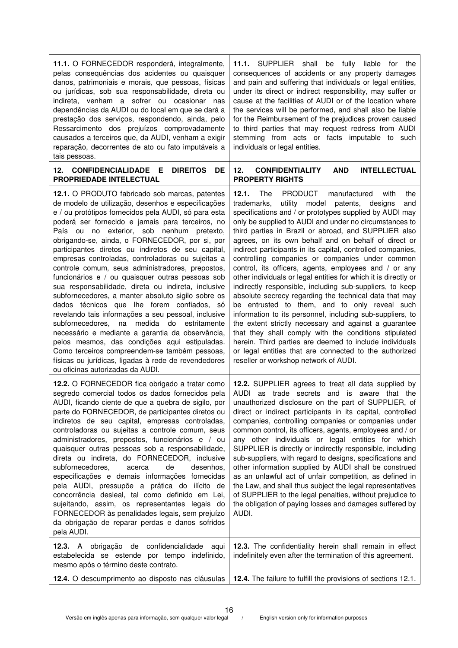| 11.1. O FORNECEDOR responderá, integralmente,<br>pelas consequências dos acidentes ou quaisquer<br>danos, patrimoniais e morais, que pessoas, físicas<br>ou jurídicas, sob sua responsabilidade, direta ou<br>indireta, venham a sofrer ou ocasionar nas<br>dependências da AUDI ou do local em que se dará a<br>prestação dos serviços, respondendo, ainda, pelo<br>Ressarcimento dos prejuízos comprovadamente<br>causados a terceiros que, da AUDI, venham a exigir<br>reparação, decorrentes de ato ou fato imputáveis a<br>tais pessoas.                                                                                                                                                                                                                                                                                                                                                                                                                                                                                                                    | 11.1. SUPPLIER shall be fully liable for the<br>consequences of accidents or any property damages<br>and pain and suffering that individuals or legal entities,<br>under its direct or indirect responsibility, may suffer or<br>cause at the facilities of AUDI or of the location where<br>the services will be performed, and shall also be liable<br>for the Reimbursement of the prejudices proven caused<br>to third parties that may request redress from AUDI<br>stemming from acts or facts imputable to such<br>individuals or legal entities.                                                                                                                                                                                                                                                                                                                                                                                                                                                                                                                                                                    |
|------------------------------------------------------------------------------------------------------------------------------------------------------------------------------------------------------------------------------------------------------------------------------------------------------------------------------------------------------------------------------------------------------------------------------------------------------------------------------------------------------------------------------------------------------------------------------------------------------------------------------------------------------------------------------------------------------------------------------------------------------------------------------------------------------------------------------------------------------------------------------------------------------------------------------------------------------------------------------------------------------------------------------------------------------------------|-----------------------------------------------------------------------------------------------------------------------------------------------------------------------------------------------------------------------------------------------------------------------------------------------------------------------------------------------------------------------------------------------------------------------------------------------------------------------------------------------------------------------------------------------------------------------------------------------------------------------------------------------------------------------------------------------------------------------------------------------------------------------------------------------------------------------------------------------------------------------------------------------------------------------------------------------------------------------------------------------------------------------------------------------------------------------------------------------------------------------------|
| 12.<br><b>CONFIDENCIALIDADE</b><br>Е<br><b>DIREITOS</b><br>DE<br>PROPRIEDADE INTELECTUAL                                                                                                                                                                                                                                                                                                                                                                                                                                                                                                                                                                                                                                                                                                                                                                                                                                                                                                                                                                         | 12.<br><b>AND</b><br><b>INTELLECTUAL</b><br><b>CONFIDENTIALITY</b><br><b>PROPERTY RIGHTS</b>                                                                                                                                                                                                                                                                                                                                                                                                                                                                                                                                                                                                                                                                                                                                                                                                                                                                                                                                                                                                                                |
| 12.1. O PRODUTO fabricado sob marcas, patentes<br>de modelo de utilização, desenhos e especificações<br>e / ou protótipos fornecidos pela AUDI, só para esta<br>poderá ser fornecido e jamais para terceiros, no<br>País ou no exterior, sob nenhum pretexto,<br>obrigando-se, ainda, o FORNECEDOR, por si, por<br>participantes diretos ou indiretos de seu capital,<br>empresas controladas, controladoras ou sujeitas a<br>controle comum, seus administradores, prepostos,<br>funcionários e / ou quaisquer outras pessoas sob<br>sua responsabilidade, direta ou indireta, inclusive<br>subfornecedores, a manter absoluto sigilo sobre os<br>dados técnicos que lhe forem confiados, só<br>revelando tais informações a seu pessoal, inclusive<br>medida<br>subfornecedores,<br>do<br>na<br>estritamente<br>necessário e mediante a garantia da observância,<br>pelos mesmos, das condições aqui estipuladas.<br>Como terceiros compreendem-se também pessoas,<br>físicas ou jurídicas, ligadas à rede de revendedores<br>ou oficinas autorizadas da AUDI. | 12.1.<br>The<br>PRODUCT<br>with<br>manufactured<br>the<br>trademarks,<br>utility<br>model<br>patents, designs<br>and<br>specifications and / or prototypes supplied by AUDI may<br>only be supplied to AUDI and under no circumstances to<br>third parties in Brazil or abroad, and SUPPLIER also<br>agrees, on its own behalf and on behalf of direct or<br>indirect participants in its capital, controlled companies,<br>controlling companies or companies under common<br>control, its officers, agents, employees and / or any<br>other individuals or legal entities for which it is directly or<br>indirectly responsible, including sub-suppliers, to keep<br>absolute secrecy regarding the technical data that may<br>be entrusted to them, and to only reveal such<br>information to its personnel, including sub-suppliers, to<br>the extent strictly necessary and against a guarantee<br>that they shall comply with the conditions stipulated<br>herein. Third parties are deemed to include individuals<br>or legal entities that are connected to the authorized<br>reseller or workshop network of AUDI. |
| 12.2. O FORNECEDOR fica obrigado a tratar como<br>segredo comercial todos os dados fornecidos pela<br>AUDI, ficando ciente de que a quebra de sigilo, por<br>parte do FORNECEDOR, de participantes diretos ou<br>indiretos de seu capital, empresas controladas,<br>controladoras ou sujeitas a controle comum, seus<br>administradores, prepostos, funcionários e / ou<br>quaisquer outras pessoas sob a responsabilidade,<br>direta ou indireta, do FORNECEDOR, inclusive<br>subfornecedores,<br>desenhos,<br>acerca<br>de<br>especificações e demais informações fornecidas<br>pela AUDI, pressupõe a prática do ilícito de<br>concorrência desleal, tal como definido em Lei,<br>sujeitando, assim, os representantes legais do<br>FORNECEDOR às penalidades legais, sem prejuízo<br>da obrigação de reparar perdas e danos sofridos<br>pela AUDI.                                                                                                                                                                                                           | 12.2. SUPPLIER agrees to treat all data supplied by<br>AUDI as trade secrets and is aware that the<br>unauthorized disclosure on the part of SUPPLIER, of<br>direct or indirect participants in its capital, controlled<br>companies, controlling companies or companies under<br>common control, its officers, agents, employees and / or<br>any other individuals or legal entities for which<br>SUPPLIER is directly or indirectly responsible, including<br>sub-suppliers, with regard to designs, specifications and<br>other information supplied by AUDI shall be construed<br>as an unlawful act of unfair competition, as defined in<br>the Law, and shall thus subject the legal representatives<br>of SUPPLIER to the legal penalties, without prejudice to<br>the obligation of paying losses and damages suffered by<br>AUDI.                                                                                                                                                                                                                                                                                  |
| 12.3. A obrigação de confidencialidade<br>aqui<br>estabelecida se estende por tempo indefinido,<br>mesmo após o término deste contrato.                                                                                                                                                                                                                                                                                                                                                                                                                                                                                                                                                                                                                                                                                                                                                                                                                                                                                                                          | 12.3. The confidentiality herein shall remain in effect<br>indefinitely even after the termination of this agreement.                                                                                                                                                                                                                                                                                                                                                                                                                                                                                                                                                                                                                                                                                                                                                                                                                                                                                                                                                                                                       |
| 12.4. O descumprimento ao disposto nas cláusulas                                                                                                                                                                                                                                                                                                                                                                                                                                                                                                                                                                                                                                                                                                                                                                                                                                                                                                                                                                                                                 | 12.4. The failure to fulfill the provisions of sections 12.1.                                                                                                                                                                                                                                                                                                                                                                                                                                                                                                                                                                                                                                                                                                                                                                                                                                                                                                                                                                                                                                                               |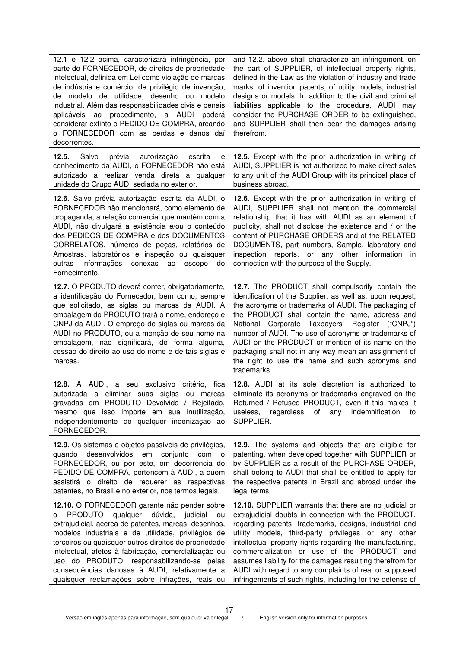| 12.1 e 12.2 acima, caracterizará infringência, por<br>parte do FORNECEDOR, de direitos de propriedade<br>intelectual, definida em Lei como violação de marcas<br>de indústria e comércio, de privilégio de invenção,<br>de modelo de utilidade, desenho ou modelo<br>industrial. Além das responsabilidades civis e penais<br>aplicáveis ao procedimento, a AUDI<br>poderá<br>considerar extinto o PEDIDO DE COMPRA, arcando<br>o FORNECEDOR com as perdas e danos daí<br>decorrentes.  | and 12.2. above shall characterize an infringement, on<br>the part of SUPPLIER, of intellectual property rights,<br>defined in the Law as the violation of industry and trade<br>marks, of invention patents, of utility models, industrial<br>designs or models. In addition to the civil and criminal<br>liabilities applicable to the procedure, AUDI may<br>consider the PURCHASE ORDER to be extinguished,<br>and SUPPLIER shall then bear the damages arising<br>therefrom.                                                |
|-----------------------------------------------------------------------------------------------------------------------------------------------------------------------------------------------------------------------------------------------------------------------------------------------------------------------------------------------------------------------------------------------------------------------------------------------------------------------------------------|----------------------------------------------------------------------------------------------------------------------------------------------------------------------------------------------------------------------------------------------------------------------------------------------------------------------------------------------------------------------------------------------------------------------------------------------------------------------------------------------------------------------------------|
| 12.5.<br>Salvo<br>prévia<br>autorização<br>escrita<br>е<br>conhecimento da AUDI, o FORNECEDOR não está<br>autorizado a realizar venda direta a qualquer<br>unidade do Grupo AUDI sediada no exterior.                                                                                                                                                                                                                                                                                   | 12.5. Except with the prior authorization in writing of<br>AUDI, SUPPLIER is not authorized to make direct sales<br>to any unit of the AUDI Group with its principal place of<br>business abroad.                                                                                                                                                                                                                                                                                                                                |
| 12.6. Salvo prévia autorização escrita da AUDI, o<br>FORNECEDOR não mencionará, como elemento de<br>propaganda, a relação comercial que mantém com a<br>AUDI, não divulgará a existência e/ou o conteúdo<br>dos PEDIDOS DE COMPRA e dos DOCUMENTOS<br>CORRELATOS, números de peças, relatórios de<br>Amostras, laboratórios e inspeção ou quaisquer<br>informações conexas<br>outras<br>escopo<br>ao<br>do<br>Fornecimento.                                                             | 12.6. Except with the prior authorization in writing of<br>AUDI, SUPPLIER shall not mention the commercial<br>relationship that it has with AUDI as an element of<br>publicity, shall not disclose the existence and / or the<br>content of PURCHASE ORDERS and of the RELATED<br>DOCUMENTS, part numbers, Sample, laboratory and<br>inspection reports, or any other information in<br>connection with the purpose of the Supply.                                                                                               |
| 12.7. O PRODUTO deverá conter, obrigatoriamente,<br>a identificação do Fornecedor, bem como, sempre<br>que solicitado, as siglas ou marcas da AUDI. A<br>embalagem do PRODUTO trará o nome, endereço e<br>CNPJ da AUDI. O emprego de siglas ou marcas da<br>AUDI no PRODUTO, ou a menção de seu nome na<br>embalagem, não significará, de forma alguma,<br>cessão do direito ao uso do nome e de tais siglas e<br>marcas.                                                               | 12.7. The PRODUCT shall compulsorily contain the<br>identification of the Supplier, as well as, upon request,<br>the acronyms or trademarks of AUDI. The packaging of<br>the PRODUCT shall contain the name, address and<br>National Corporate Taxpayers'<br>Register ("CNPJ")<br>number of AUDI. The use of acronyms or trademarks of<br>AUDI on the PRODUCT or mention of its name on the<br>packaging shall not in any way mean an assignment of<br>the right to use the name and such acronyms and<br>trademarks.            |
| <b>12.8.</b> A AUDI, a seu exclusivo<br>critério, fica<br>autorizada a eliminar suas siglas<br>marcas<br>ou<br>gravadas em PRODUTO Devolvido / Rejeitado,<br>mesmo que isso importe em sua inutilização,<br>independentemente de qualquer indenização ao<br>FORNECEDOR.                                                                                                                                                                                                                 | <b>12.8.</b> AUDI at its sole discretion is authorized to<br>eliminate its acronyms or trademarks engraved on the<br>Returned / Refused PRODUCT, even if this makes it<br>useless,<br>regardless<br>of<br>any<br>indemnification<br>to<br>SUPPLIER.                                                                                                                                                                                                                                                                              |
| 12.9. Os sistemas e objetos passíveis de privilégios,<br>quando desenvolvidos em<br>conjunto<br>com<br>$\circ$<br>FORNECEDOR, ou por este, em decorrência do<br>PEDIDO DE COMPRA, pertencem à AUDI, a quem<br>assistirá o direito de requerer as respectivas<br>patentes, no Brasil e no exterior, nos termos legais.                                                                                                                                                                   | 12.9. The systems and objects that are eligible for<br>patenting, when developed together with SUPPLIER or<br>by SUPPLIER as a result of the PURCHASE ORDER,<br>shall belong to AUDI that shall be entitled to apply for<br>the respective patents in Brazil and abroad under the<br>legal terms.                                                                                                                                                                                                                                |
| 12.10. O FORNECEDOR garante não pender sobre<br>qualquer dúvida, judicial<br><b>PRODUTO</b><br>ou<br>0<br>extrajudicial, acerca de patentes, marcas, desenhos,<br>modelos industriais e de utilidade, privilégios de<br>terceiros ou quaisquer outros direitos de propriedade<br>intelectual, afetos à fabricação, comercialização ou<br>uso do PRODUTO, responsabilizando-se pelas<br>consequências danosas à AUDI, relativamente a<br>quaisquer reclamações sobre infrações, reais ou | 12.10. SUPPLIER warrants that there are no judicial or<br>extrajudicial doubts in connection with the PRODUCT,<br>regarding patents, trademarks, designs, industrial and<br>utility models, third-party privileges or any other<br>intellectual property rights regarding the manufacturing,<br>commercialization or use of the PRODUCT and<br>assumes liability for the damages resulting therefrom for<br>AUDI with regard to any complaints of real or supposed<br>infringements of such rights, including for the defense of |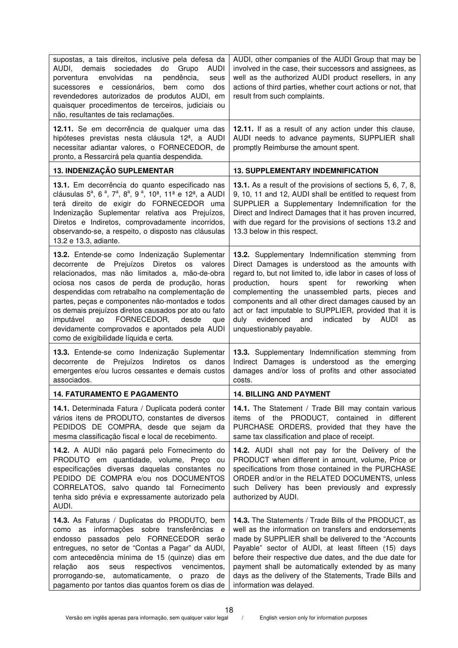| supostas, a tais direitos, inclusive pela defesa da<br>AUDI,<br>demais<br>sociedades<br>do<br>Grupo<br><b>AUDI</b><br>envolvidas<br>pendência,<br>porventura<br>na<br>seus<br>e cessionários,<br>bem<br>dos<br>sucessores<br>como<br>revendedores autorizados de produtos AUDI, em<br>quaisquer procedimentos de terceiros, judiciais ou<br>não, resultantes de tais reclamações.                                                                                                                               | AUDI, other companies of the AUDI Group that may be<br>involved in the case, their successors and assignees, as<br>well as the authorized AUDI product resellers, in any<br>actions of third parties, whether court actions or not, that<br>result from such complaints.                                                                                                                                                                                                                                |
|-----------------------------------------------------------------------------------------------------------------------------------------------------------------------------------------------------------------------------------------------------------------------------------------------------------------------------------------------------------------------------------------------------------------------------------------------------------------------------------------------------------------|---------------------------------------------------------------------------------------------------------------------------------------------------------------------------------------------------------------------------------------------------------------------------------------------------------------------------------------------------------------------------------------------------------------------------------------------------------------------------------------------------------|
| 12.11. Se em decorrência de qualquer uma das<br>hipóteses previstas nesta cláusula 12 <sup>ª</sup> , a AUDI<br>necessitar adiantar valores, o FORNECEDOR, de<br>pronto, a Ressarcirá pela quantia despendida.                                                                                                                                                                                                                                                                                                   | 12.11. If as a result of any action under this clause,<br>AUDI needs to advance payments, SUPPLIER shall<br>promptly Reimburse the amount spent.                                                                                                                                                                                                                                                                                                                                                        |
| 13. INDENIZAÇÃO SUPLEMENTAR                                                                                                                                                                                                                                                                                                                                                                                                                                                                                     | <b>13. SUPPLEMENTARY INDEMNIFICATION</b>                                                                                                                                                                                                                                                                                                                                                                                                                                                                |
| 13.1. Em decorrência do quanto especificado nas<br>cláusulas 5 <sup>a</sup> , 6 <sup>a</sup> , 7 <sup>a</sup> , 8 <sup>a</sup> , 9 <sup>a</sup> , 10 <sup>a</sup> , 11 <sup>a</sup> e 12 <sup>a</sup> , a AUDI<br>terá direito de exigir do FORNECEDOR uma<br>Indenização Suplementar relativa aos Prejuízos,<br>Diretos e Indiretos, comprovadamente incorridos,<br>observando-se, a respeito, o disposto nas cláusulas<br>13.2 e 13.3, adiante.                                                               | 13.1. As a result of the provisions of sections 5, 6, 7, 8,<br>9, 10, 11 and 12, AUDI shall be entitled to request from<br>SUPPLIER a Supplementary Indemnification for the<br>Direct and Indirect Damages that it has proven incurred,<br>with due regard for the provisions of sections 13.2 and<br>13.3 below in this respect.                                                                                                                                                                       |
| 13.2. Entende-se como Indenização Suplementar<br>decorrente de Prejuízos<br>Diretos<br>os valores<br>relacionados, mas não limitados a, mão-de-obra<br>ociosa nos casos de perda de produção, horas<br>despendidas com retrabalho na complementação de<br>partes, peças e componentes não-montados e todos<br>os demais prejuízos diretos causados por ato ou fato<br>FORNECEDOR,<br>imputável<br>desde<br>ao<br>que<br>devidamente comprovados e apontados pela AUDI<br>como de exigibilidade líquida e certa. | 13.2. Supplementary Indemnification stemming from<br>Direct Damages is understood as the amounts with<br>regard to, but not limited to, idle labor in cases of loss of<br>production,<br>hours<br>spent<br>for<br>reworking<br>when<br>complementing the unassembled parts, pieces and<br>components and all other direct damages caused by an<br>act or fact imputable to SUPPLIER, provided that it is<br>evidenced<br>indicated<br><b>AUDI</b><br>duly<br>and<br>by<br>as<br>unquestionably payable. |
| 13.3. Entende-se como Indenização Suplementar<br>de Prejuízos<br>Indiretos os danos<br>decorrente<br>emergentes e/ou lucros cessantes e demais custos<br>associados.                                                                                                                                                                                                                                                                                                                                            | 13.3. Supplementary Indemnification stemming from<br>Indirect Damages is understood as the emerging<br>damages and/or loss of profits and other associated<br>costs.                                                                                                                                                                                                                                                                                                                                    |
| <b>14. FATURAMENTO E PAGAMENTO</b>                                                                                                                                                                                                                                                                                                                                                                                                                                                                              | <b>14. BILLING AND PAYMENT</b>                                                                                                                                                                                                                                                                                                                                                                                                                                                                          |
| 14.1. Determinada Fatura / Duplicata poderá conter<br>vários itens de PRODUTO, constantes de diversos<br>PEDIDOS DE COMPRA, desde que sejam da<br>mesma classificação fiscal e local de recebimento.                                                                                                                                                                                                                                                                                                            | 14.1. The Statement / Trade Bill may contain various<br>items of the PRODUCT, contained in different<br>PURCHASE ORDERS, provided that they have the<br>same tax classification and place of receipt.                                                                                                                                                                                                                                                                                                   |
| 14.2. A AUDI não pagará pelo Fornecimento do<br>PRODUTO em quantidade, volume, Preço ou<br>especificações diversas daquelas constantes no<br>PEDIDO DE COMPRA e/ou nos DOCUMENTOS<br>CORRELATOS, salvo quando tal Fornecimento<br>tenha sido prévia e expressamente autorizado pela<br>AUDI.                                                                                                                                                                                                                    | 14.2. AUDI shall not pay for the Delivery of the<br>PRODUCT when different in amount, volume, Price or<br>specifications from those contained in the PURCHASE<br>ORDER and/or in the RELATED DOCUMENTS, unless<br>such Delivery has been previously and expressly<br>authorized by AUDI.                                                                                                                                                                                                                |
| 14.3. As Faturas / Duplicatas do PRODUTO, bem<br>como as informações sobre transferências e<br>endosso passados pelo FORNECEDOR serão<br>entregues, no setor de "Contas a Pagar" da AUDI,<br>com antecedência mínima de 15 (quinze) dias em<br>respectivos<br>vencimentos,<br>relação<br>aos<br>seus<br>prorrogando-se, automaticamente,<br>o prazo de<br>pagamento por tantos dias quantos forem os dias de                                                                                                    | 14.3. The Statements / Trade Bills of the PRODUCT, as<br>well as the information on transfers and endorsements<br>made by SUPPLIER shall be delivered to the "Accounts<br>Payable" sector of AUDI, at least fifteen (15) days<br>before their respective due dates, and the due date for<br>payment shall be automatically extended by as many<br>days as the delivery of the Statements, Trade Bills and<br>information was delayed.                                                                   |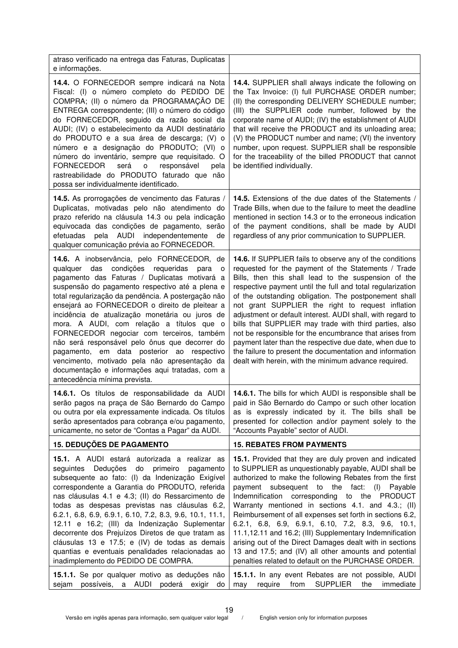| atraso verificado na entrega das Faturas, Duplicatas<br>e informações.                                                                                                                                                                                                                                                                                                                                                                                                                                                                                                                                                                                                                                  |                                                                                                                                                                                                                                                                                                                                                                                                                                                                                                                                                                                                                                                                                                                        |
|---------------------------------------------------------------------------------------------------------------------------------------------------------------------------------------------------------------------------------------------------------------------------------------------------------------------------------------------------------------------------------------------------------------------------------------------------------------------------------------------------------------------------------------------------------------------------------------------------------------------------------------------------------------------------------------------------------|------------------------------------------------------------------------------------------------------------------------------------------------------------------------------------------------------------------------------------------------------------------------------------------------------------------------------------------------------------------------------------------------------------------------------------------------------------------------------------------------------------------------------------------------------------------------------------------------------------------------------------------------------------------------------------------------------------------------|
| 14.4. O FORNECEDOR sempre indicará na Nota<br>Fiscal: (I) o número completo do PEDIDO DE<br>COMPRA; (II) o número da PROGRAMAÇÃO DE<br>ENTREGA correspondente; (III) o número do código<br>do FORNECEDOR, seguido da razão social da<br>AUDI; (IV) o estabelecimento da AUDI destinatário<br>do PRODUTO e a sua área de descarga; (V) o<br>número e a designação do PRODUTO; (VI) o<br>número do inventário, sempre que requisitado. O<br><b>FORNECEDOR</b><br>será<br>responsável<br>$\mathsf{o}$<br>pela<br>rastreabilidade do PRODUTO faturado que não<br>possa ser individualmente identificado.                                                                                                    | 14.4. SUPPLIER shall always indicate the following on<br>the Tax Invoice: (I) full PURCHASE ORDER number;<br>(II) the corresponding DELIVERY SCHEDULE number;<br>(III) the SUPPLIER code number, followed by the<br>corporate name of AUDI; (IV) the establishment of AUDI<br>that will receive the PRODUCT and its unloading area;<br>(V) the PRODUCT number and name; (VI) the inventory<br>number, upon request. SUPPLIER shall be responsible<br>for the traceability of the billed PRODUCT that cannot<br>be identified individually.                                                                                                                                                                             |
| 14.5. As prorrogações de vencimento das Faturas /<br>Duplicatas, motivadas pelo não atendimento do<br>prazo referido na cláusula 14.3 ou pela indicação<br>equivocada das condições de pagamento, serão<br>pela AUDI independentemente<br>efetuadas<br>de<br>qualquer comunicação prévia ao FORNECEDOR.                                                                                                                                                                                                                                                                                                                                                                                                 | 14.5. Extensions of the due dates of the Statements /<br>Trade Bills, when due to the failure to meet the deadline<br>mentioned in section 14.3 or to the erroneous indication<br>of the payment conditions, shall be made by AUDI<br>regardless of any prior communication to SUPPLIER.                                                                                                                                                                                                                                                                                                                                                                                                                               |
| 14.6. A inobservância, pelo FORNECEDOR, de<br>das<br>condições requeridas<br>qualquer<br>para<br>$\circ$<br>pagamento das Faturas / Duplicatas motivará a<br>suspensão do pagamento respectivo até a plena e<br>total regularização da pendência. A postergação não<br>ensejará ao FORNECEDOR o direito de pleitear a<br>incidência de atualização monetária ou juros de<br>mora. A AUDI, com relação a títulos que o<br>FORNECEDOR negociar com terceiros, também<br>não será responsável pelo ônus que decorrer do<br>pagamento, em data posterior ao respectivo<br>vencimento, motivado pela não apresentação da<br>documentação e informações aqui tratadas, com a<br>antecedência mínima prevista. | 14.6. If SUPPLIER fails to observe any of the conditions<br>requested for the payment of the Statements / Trade<br>Bills, then this shall lead to the suspension of the<br>respective payment until the full and total regularization<br>of the outstanding obligation. The postponement shall<br>not grant SUPPLIER the right to request inflation<br>adjustment or default interest. AUDI shall, with regard to<br>bills that SUPPLIER may trade with third parties, also<br>not be responsible for the encumbrance that arises from<br>payment later than the respective due date, when due to<br>the failure to present the documentation and information<br>dealt with herein, with the minimum advance required. |
| 14.6.1. Os títulos de responsabilidade da AUDI<br>serão pagos na praça de São Bernardo do Campo<br>ou outra por ela expressamente indicada. Os títulos<br>serão apresentados para cobrança e/ou pagamento,<br>unicamente, no setor de "Contas a Pagar" da AUDI.                                                                                                                                                                                                                                                                                                                                                                                                                                         | 14.6.1. The bills for which AUDI is responsible shall be<br>paid in São Bernardo do Campo or such other location<br>as is expressly indicated by it. The bills shall be<br>presented for collection and/or payment solely to the<br>"Accounts Payable" sector of AUDI.                                                                                                                                                                                                                                                                                                                                                                                                                                                 |
| <b>15. DEDUÇÕES DE PAGAMENTO</b>                                                                                                                                                                                                                                                                                                                                                                                                                                                                                                                                                                                                                                                                        | <b>15. REBATES FROM PAYMENTS</b>                                                                                                                                                                                                                                                                                                                                                                                                                                                                                                                                                                                                                                                                                       |
| 15.1. A AUDI estará autorizada a realizar as<br>do primeiro<br>Deduções<br>pagamento<br>seguintes<br>subsequente ao fato: (I) da Indenização Exigível<br>correspondente a Garantia do PRODUTO, referida<br>nas cláusulas 4.1 e 4.3; (II) do Ressarcimento de<br>todas as despesas previstas nas cláusulas 6.2,<br>6.2.1, 6.8, 6.9, 6.9.1, 6.10, 7.2, 8.3, 9.6, 10.1, 11.1,<br>12.11 e 16.2; (III) da Indenização Suplementar<br>decorrente dos Prejuízos Diretos de que tratam as<br>cláusulas 13 e 17.5; e (IV) de todas as demais<br>quantias e eventuais penalidades relacionadas ao<br>inadimplemento do PEDIDO DE COMPRA.                                                                          | 15.1. Provided that they are duly proven and indicated<br>to SUPPLIER as unquestionably payable, AUDI shall be<br>authorized to make the following Rebates from the first<br>payment subsequent to the fact:<br>(I) Payable<br>Indemnification corresponding to the PRODUCT<br>Warranty mentioned in sections 4.1. and 4.3.; (II)<br>Reimbursement of all expenses set forth in sections 6.2,<br>6.2.1, 6.8, 6.9, 6.9.1, 6.10, 7.2, 8.3, 9.6, 10.1,<br>11.1,12.11 and 16.2; (III) Supplementary Indemnification<br>arising out of the Direct Damages dealt with in sections<br>13 and 17.5; and (IV) all other amounts and potential<br>penalties related to default on the PURCHASE ORDER.                            |
| 15.1.1. Se por qualquer motivo as deduções não<br>possíveis,<br>a AUDI<br>sejam<br>poderá<br>exigir<br>do                                                                                                                                                                                                                                                                                                                                                                                                                                                                                                                                                                                               | 15.1.1. In any event Rebates are not possible, AUDI<br><b>SUPPLIER</b><br>require<br>from<br>the<br>immediate<br>may                                                                                                                                                                                                                                                                                                                                                                                                                                                                                                                                                                                                   |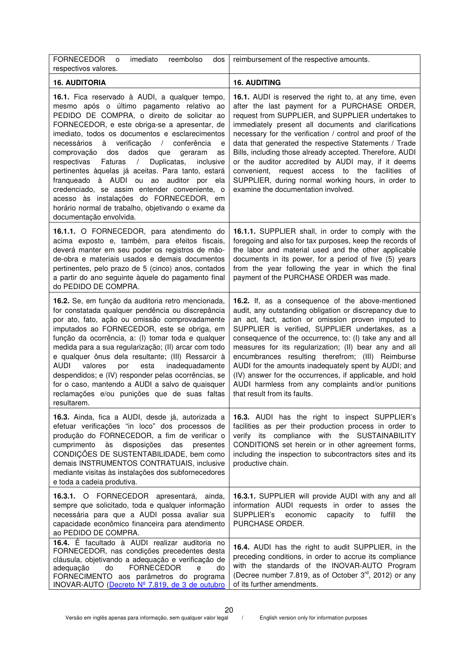| <b>FORNECEDOR</b><br>imediato<br>reembolso<br>dos<br>O<br>respectivos valores.                                                                                                                                                                                                                                                                                                                                                                                                                                                                                                                                                                                                                                            | reimbursement of the respective amounts.                                                                                                                                                                                                                                                                                                                                                                                                                                                                                                                                                                              |
|---------------------------------------------------------------------------------------------------------------------------------------------------------------------------------------------------------------------------------------------------------------------------------------------------------------------------------------------------------------------------------------------------------------------------------------------------------------------------------------------------------------------------------------------------------------------------------------------------------------------------------------------------------------------------------------------------------------------------|-----------------------------------------------------------------------------------------------------------------------------------------------------------------------------------------------------------------------------------------------------------------------------------------------------------------------------------------------------------------------------------------------------------------------------------------------------------------------------------------------------------------------------------------------------------------------------------------------------------------------|
| <b>16. AUDITORIA</b>                                                                                                                                                                                                                                                                                                                                                                                                                                                                                                                                                                                                                                                                                                      | <b>16. AUDITING</b>                                                                                                                                                                                                                                                                                                                                                                                                                                                                                                                                                                                                   |
| 16.1. Fica reservado à AUDI, a qualquer tempo,<br>mesmo após o último pagamento relativo ao<br>PEDIDO DE COMPRA, o direito de solicitar ao<br>FORNECEDOR, e este obriga-se a apresentar, de<br>imediato, todos os documentos e esclarecimentos<br>necessários<br>à verificação<br>conferência<br>$\sqrt{2}$<br>e<br>dados<br>comprovação<br>dos<br>que<br>geraram<br>as<br>Duplicatas,<br>inclusive<br>respectivas<br>Faturas<br>$\sqrt{2}$<br>pertinentes àquelas já aceitas. Para tanto, estará<br>franqueado à AUDI ou ao auditor por ela<br>credenciado, se assim entender conveniente, o<br>acesso às instalações do FORNECEDOR, em<br>horário normal de trabalho, objetivando o exame da<br>documentação envolvida. | <b>16.1.</b> AUDI is reserved the right to, at any time, even<br>after the last payment for a PURCHASE ORDER,<br>request from SUPPLIER, and SUPPLIER undertakes to<br>immediately present all documents and clarifications<br>necessary for the verification / control and proof of the<br>data that generated the respective Statements / Trade<br>Bills, including those already accepted. Therefore, AUDI<br>or the auditor accredited by AUDI may, if it deems<br>convenient, request access to<br>the facilities of<br>SUPPLIER, during normal working hours, in order to<br>examine the documentation involved. |
| 16.1.1. O FORNECEDOR, para atendimento do<br>acima exposto e, também, para efeitos fiscais,<br>deverá manter em seu poder os registros de mão-<br>de-obra e materiais usados e demais documentos<br>pertinentes, pelo prazo de 5 (cinco) anos, contados<br>a partir do ano seguinte àquele do pagamento final<br>do PEDIDO DE COMPRA.                                                                                                                                                                                                                                                                                                                                                                                     | 16.1.1. SUPPLIER shall, in order to comply with the<br>foregoing and also for tax purposes, keep the records of<br>the labor and material used and the other applicable<br>documents in its power, for a period of five (5) years<br>from the year following the year in which the final<br>payment of the PURCHASE ORDER was made.                                                                                                                                                                                                                                                                                   |
| 16.2. Se, em função da auditoria retro mencionada,<br>for constatada qualquer pendência ou discrepância<br>por ato, fato, ação ou omissão comprovadamente<br>imputados ao FORNECEDOR, este se obriga, em<br>função da ocorrência, a: (I) tomar toda e qualquer<br>medida para a sua regularização; (II) arcar com todo<br>e qualquer ônus dela resultante; (III) Ressarcir à<br><b>AUDI</b><br>valores<br>esta<br>inadequadamente<br>por<br>despendidos; e (IV) responder pelas ocorrências, se<br>for o caso, mantendo a AUDI a salvo de quaisquer<br>reclamações e/ou punições que de suas faltas<br>resultarem.                                                                                                        | 16.2. If, as a consequence of the above-mentioned<br>audit, any outstanding obligation or discrepancy due to<br>an act, fact, action or omission proven imputed to<br>SUPPLIER is verified, SUPPLIER undertakes, as a<br>consequence of the occurrence, to: (I) take any and all<br>measures for its regularization; (II) bear any and all<br>encumbrances resulting therefrom; (III) Reimburse<br>AUDI for the amounts inadequately spent by AUDI; and<br>(IV) answer for the occurrences, if applicable, and hold<br>AUDI harmless from any complaints and/or punitions<br>that result from its faults.             |
| 16.3. Ainda, fica a AUDI, desde já, autorizada a<br>efetuar verificações "in loco" dos processos de<br>produção do FORNECEDOR, a fim de verificar o<br>às<br>cumprimento<br>disposições<br>das<br>presentes<br>CONDIÇÕES DE SUSTENTABILIDADE, bem como<br>demais INSTRUMENTOS CONTRATUAIS, inclusive<br>mediante visitas às instalações dos subfornecedores<br>e toda a cadeia produtiva.                                                                                                                                                                                                                                                                                                                                 | 16.3. AUDI has the right to inspect SUPPLIER's<br>facilities as per their production process in order to<br>verify its compliance with the SUSTAINABILITY<br>CONDITIONS set herein or in other agreement forms,<br>including the inspection to subcontractors sites and its<br>productive chain.                                                                                                                                                                                                                                                                                                                      |
| 16.3.1. O FORNECEDOR apresentará, ainda,<br>sempre que solicitado, toda e qualquer informação<br>necessária para que a AUDI possa avaliar sua<br>capacidade econômico financeira para atendimento<br>ao PEDIDO DE COMPRA.                                                                                                                                                                                                                                                                                                                                                                                                                                                                                                 | 16.3.1. SUPPLIER will provide AUDI with any and all<br>information AUDI requests in order to asses the<br>SUPPLIER's<br>fulfill<br>economic<br>capacity<br>to<br>the<br>PURCHASE ORDER.                                                                                                                                                                                                                                                                                                                                                                                                                               |
| 16.4. É facultado à AUDI realizar auditoria no<br>FORNECEDOR, nas condições precedentes desta<br>cláusula, objetivando a adequação e verificação de<br><b>FORNECEDOR</b><br>adequação<br>do<br>do<br>e<br>FORNECIMENTO aos parâmetros do programa<br>INOVAR-AUTO (Decreto Nº 7.819, de 3 de outubro                                                                                                                                                                                                                                                                                                                                                                                                                       | 16.4. AUDI has the right to audit SUPPLIER, in the<br>preceding conditions, in order to accrue its compliance<br>with the standards of the INOVAR-AUTO Program<br>(Decree number 7.819, as of October 3rd, 2012) or any<br>of its further amendments.                                                                                                                                                                                                                                                                                                                                                                 |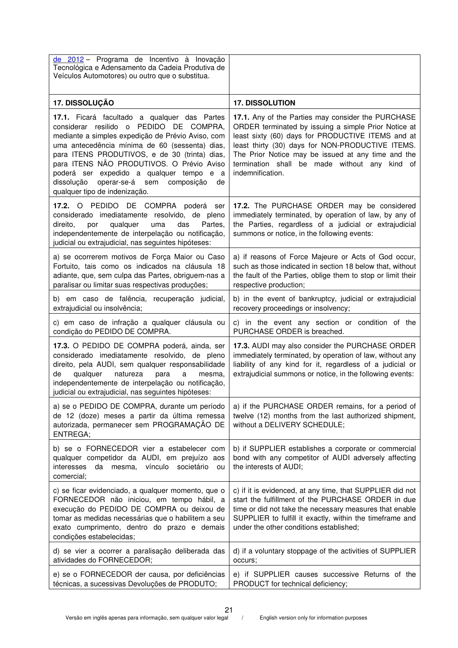| de 2012 – Programa de Incentivo à Inovação<br>Tecnológica e Adensamento da Cadeia Produtiva de<br>Veículos Automotores) ou outro que o substitua.                                                                                                                                                                                                                                                                              |                                                                                                                                                                                                                                                                                                                                                |
|--------------------------------------------------------------------------------------------------------------------------------------------------------------------------------------------------------------------------------------------------------------------------------------------------------------------------------------------------------------------------------------------------------------------------------|------------------------------------------------------------------------------------------------------------------------------------------------------------------------------------------------------------------------------------------------------------------------------------------------------------------------------------------------|
| 17. DISSOLUÇÃO                                                                                                                                                                                                                                                                                                                                                                                                                 | <b>17. DISSOLUTION</b>                                                                                                                                                                                                                                                                                                                         |
| 17.1. Ficará facultado a qualquer das Partes<br>considerar resilido o PEDIDO DE COMPRA,<br>mediante a simples expedição de Prévio Aviso, com<br>uma antecedência mínima de 60 (sessenta) dias,<br>para ITENS PRODUTIVOS, e de 30 (trinta) dias,<br>para ITENS NÃO PRODUTIVOS. O Prévio Aviso<br>poderá ser expedido a qualquer tempo e a<br>dissolução<br>operar-se-á sem<br>composição<br>de<br>qualquer tipo de indenização. | 17.1. Any of the Parties may consider the PURCHASE<br>ORDER terminated by issuing a simple Prior Notice at<br>least sixty (60) days for PRODUCTIVE ITEMS and at<br>least thirty (30) days for NON-PRODUCTIVE ITEMS.<br>The Prior Notice may be issued at any time and the<br>termination shall be made without any kind of<br>indemnification. |
| 17.2. O PEDIDO DE COMPRA poderá ser<br>considerado imediatamente resolvido, de pleno<br>qualquer<br>direito,<br>por<br>uma<br>das<br>Partes,<br>independentemente de interpelação ou notificação,<br>judicial ou extrajudicial, nas seguintes hipóteses:                                                                                                                                                                       | 17.2. The PURCHASE ORDER may be considered<br>immediately terminated, by operation of law, by any of<br>the Parties, regardless of a judicial or extrajudicial<br>summons or notice, in the following events:                                                                                                                                  |
| a) se ocorrerem motivos de Força Maior ou Caso<br>Fortuito, tais como os indicados na cláusula 18<br>adiante, que, sem culpa das Partes, obriguem-nas a<br>paralisar ou limitar suas respectivas produções;                                                                                                                                                                                                                    | a) if reasons of Force Majeure or Acts of God occur,<br>such as those indicated in section 18 below that, without<br>the fault of the Parties, oblige them to stop or limit their<br>respective production;                                                                                                                                    |
| b) em caso de falência, recuperação judicial,<br>extrajudicial ou insolvência;                                                                                                                                                                                                                                                                                                                                                 | b) in the event of bankruptcy, judicial or extrajudicial<br>recovery proceedings or insolvency;                                                                                                                                                                                                                                                |
| c) em caso de infração a qualquer cláusula ou<br>condição do PEDIDO DE COMPRA.                                                                                                                                                                                                                                                                                                                                                 | c) in the event any section or condition of the<br>PURCHASE ORDER is breached.                                                                                                                                                                                                                                                                 |
| 17.3. O PEDIDO DE COMPRA poderá, ainda, ser<br>considerado imediatamente resolvido, de pleno<br>direito, pela AUDI, sem qualquer responsabilidade<br>qualquer<br>natureza<br>de<br>para<br>a<br>mesma.<br>independentemente de interpelação ou notificação,<br>judicial ou extrajudicial, nas seguintes hipóteses:                                                                                                             | 17.3. AUDI may also consider the PURCHASE ORDER<br>immediately terminated, by operation of law, without any<br>liability of any kind for it, regardless of a judicial or<br>extrajudicial summons or notice, in the following events:                                                                                                          |
| a) se o PEDIDO DE COMPRA, durante um período<br>de 12 (doze) meses a partir da última remessa<br>autorizada, permanecer sem PROGRAMAÇÃO DE<br>ENTREGA;                                                                                                                                                                                                                                                                         | a) if the PURCHASE ORDER remains, for a period of<br>twelve (12) months from the last authorized shipment,<br>without a DELIVERY SCHEDULE;                                                                                                                                                                                                     |
| b) se o FORNECEDOR vier a estabelecer com<br>qualquer competidor da AUDI, em prejuízo aos<br>interesses<br>da mesma, vínculo societário<br>ou<br>comercial;                                                                                                                                                                                                                                                                    | b) if SUPPLIER establishes a corporate or commercial<br>bond with any competitor of AUDI adversely affecting<br>the interests of AUDI;                                                                                                                                                                                                         |
| c) se ficar evidenciado, a qualquer momento, que o<br>FORNECEDOR não iniciou, em tempo hábil, a<br>execução do PEDIDO DE COMPRA ou deixou de<br>tomar as medidas necessárias que o habilitem a seu<br>exato cumprimento, dentro do prazo e demais<br>condições estabelecidas;                                                                                                                                                  | c) if it is evidenced, at any time, that SUPPLIER did not<br>start the fulfillment of the PURCHASE ORDER in due<br>time or did not take the necessary measures that enable<br>SUPPLIER to fulfill it exactly, within the timeframe and<br>under the other conditions established;                                                              |
| d) se vier a ocorrer a paralisação deliberada das<br>atividades do FORNECEDOR;                                                                                                                                                                                                                                                                                                                                                 | d) if a voluntary stoppage of the activities of SUPPLIER<br>occurs;                                                                                                                                                                                                                                                                            |
| e) se o FORNECEDOR der causa, por deficiências<br>técnicas, a sucessivas Devoluções de PRODUTO;                                                                                                                                                                                                                                                                                                                                | e) if SUPPLIER causes successive Returns of the<br>PRODUCT for technical deficiency;                                                                                                                                                                                                                                                           |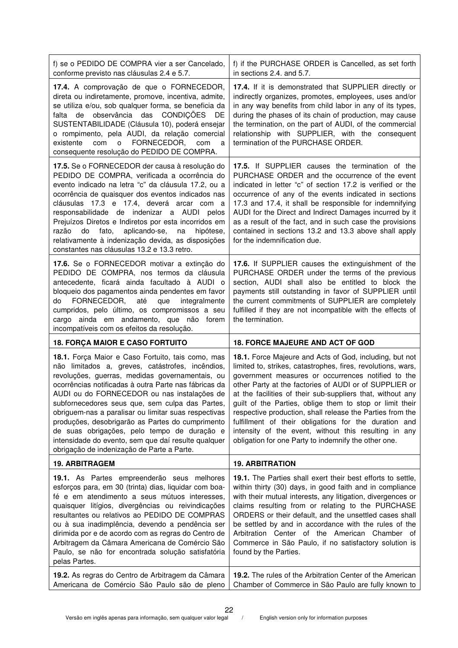| f) se o PEDIDO DE COMPRA vier a ser Cancelado,<br>conforme previsto nas cláusulas 2.4 e 5.7.                                                                                                                                                                                                                                                                                                                                                                                                                                                                                        | f) if the PURCHASE ORDER is Cancelled, as set forth<br>in sections 2.4. and 5.7.                                                                                                                                                                                                                                                                                                                                                                                                                                                                                                                         |
|-------------------------------------------------------------------------------------------------------------------------------------------------------------------------------------------------------------------------------------------------------------------------------------------------------------------------------------------------------------------------------------------------------------------------------------------------------------------------------------------------------------------------------------------------------------------------------------|----------------------------------------------------------------------------------------------------------------------------------------------------------------------------------------------------------------------------------------------------------------------------------------------------------------------------------------------------------------------------------------------------------------------------------------------------------------------------------------------------------------------------------------------------------------------------------------------------------|
| 17.4. A comprovação de que o FORNECEDOR,<br>direta ou indiretamente, promove, incentiva, admite,<br>se utiliza e/ou, sob qualquer forma, se beneficia da<br>de observância das CONDIÇÕES<br>falta<br>DE<br>SUSTENTABILIDADE (Cláusula 10), poderá ensejar<br>o rompimento, pela AUDI, da relação comercial<br>FORNECEDOR,<br>existente<br>com<br>$\circ$<br>com<br>a<br>consequente resolução do PEDIDO DE COMPRA.                                                                                                                                                                  | 17.4. If it is demonstrated that SUPPLIER directly or<br>indirectly organizes, promotes, employees, uses and/or<br>in any way benefits from child labor in any of its types,<br>during the phases of its chain of production, may cause<br>the termination, on the part of AUDI, of the commercial<br>relationship with SUPPLIER, with the consequent<br>termination of the PURCHASE ORDER.                                                                                                                                                                                                              |
| 17.5. Se o FORNECEDOR der causa à resolução do<br>PEDIDO DE COMPRA, verificada a ocorrência do<br>evento indicado na letra "c" da cláusula 17.2, ou a<br>ocorrência de quaisquer dos eventos indicados nas<br>cláusulas 17.3 e 17.4, deverá arcar com a<br>responsabilidade de indenizar a AUDI pelos<br>Prejuízos Diretos e Indiretos por esta incorridos em<br>fato,<br>aplicando-se,<br>hipótese,<br>razão<br>do<br>na<br>relativamente à indenização devida, as disposições<br>constantes nas cláusulas 13.2 e 13.3 retro.                                                      | 17.5. If SUPPLIER causes the termination of the<br>PURCHASE ORDER and the occurrence of the event<br>indicated in letter "c" of section 17.2 is verified or the<br>occurrence of any of the events indicated in sections<br>17.3 and 17.4, it shall be responsible for indemnifying<br>AUDI for the Direct and Indirect Damages incurred by it<br>as a result of the fact, and in such case the provisions<br>contained in sections 13.2 and 13.3 above shall apply<br>for the indemnification due.                                                                                                      |
| 17.6. Se o FORNECEDOR motivar a extinção do<br>PEDIDO DE COMPRA, nos termos da cláusula<br>antecedente, ficará ainda facultado à AUDI o<br>bloqueio dos pagamentos ainda pendentes em favor<br>FORNECEDOR,<br>que<br>até<br>integralmente<br>do<br>cumpridos, pelo último, os compromissos a seu<br>cargo ainda em andamento, que não forem                                                                                                                                                                                                                                         | 17.6. If SUPPLIER causes the extinguishment of the<br>PURCHASE ORDER under the terms of the previous<br>section, AUDI shall also be entitled to block the<br>payments still outstanding in favor of SUPPLIER until<br>the current commitments of SUPPLIER are completely<br>fulfilled if they are not incompatible with the effects of<br>the termination.                                                                                                                                                                                                                                               |
| incompatíveis com os efeitos da resolução.                                                                                                                                                                                                                                                                                                                                                                                                                                                                                                                                          |                                                                                                                                                                                                                                                                                                                                                                                                                                                                                                                                                                                                          |
| <b>18. FORÇA MAIOR E CASO FORTUITO</b>                                                                                                                                                                                                                                                                                                                                                                                                                                                                                                                                              | <b>18. FORCE MAJEURE AND ACT OF GOD</b>                                                                                                                                                                                                                                                                                                                                                                                                                                                                                                                                                                  |
| 18.1. Força Maior e Caso Fortuito, tais como, mas<br>não limitados a, greves, catástrofes, incêndios,<br>revoluções, guerras, medidas governamentais, ou<br>ocorrências notificadas à outra Parte nas fábricas da<br>AUDI ou do FORNECEDOR ou nas instalações de<br>subfornecedores seus que, sem culpa das Partes,<br>obriguem-nas a paralisar ou limitar suas respectivas<br>produções, desobrigarão as Partes do cumprimento<br>de suas obrigações, pelo tempo de duração e<br>intensidade do evento, sem que daí resulte qualquer<br>obrigação de indenização de Parte a Parte. | 18.1. Force Majeure and Acts of God, including, but not<br>limited to, strikes, catastrophes, fires, revolutions, wars,<br>government measures or occurrences notified to the<br>other Party at the factories of AUDI or of SUPPLIER or<br>at the facilities of their sub-suppliers that, without any<br>guilt of the Parties, oblige them to stop or limit their<br>respective production, shall release the Parties from the<br>fulfillment of their obligations for the duration and<br>intensity of the event, without this resulting in any<br>obligation for one Party to indemnify the other one. |
| <b>19. ARBITRAGEM</b>                                                                                                                                                                                                                                                                                                                                                                                                                                                                                                                                                               | <b>19. ARBITRATION</b>                                                                                                                                                                                                                                                                                                                                                                                                                                                                                                                                                                                   |
| 19.1. As Partes empreenderão seus melhores<br>esforços para, em 30 (trinta) dias, liquidar com boa-<br>fé e em atendimento a seus mútuos interesses,<br>quaisquer litígios, divergências ou reivindicações<br>resultantes ou relativos ao PEDIDO DE COMPRAS<br>ou à sua inadimplência, devendo a pendência ser<br>dirimida por e de acordo com as regras do Centro de<br>Arbitragem da Câmara Americana de Comércio São<br>Paulo, se não for encontrada solução satisfatória<br>pelas Partes.<br>19.2. As regras do Centro de Arbitragem da Câmara                                  | 19.1. The Parties shall exert their best efforts to settle,<br>within thirty (30) days, in good faith and in compliance<br>with their mutual interests, any litigation, divergences or<br>claims resulting from or relating to the PURCHASE<br>ORDERS or their default, and the unsettled cases shall<br>be settled by and in accordance with the rules of the<br>Arbitration Center of the American Chamber of<br>Commerce in São Paulo, if no satisfactory solution is<br>found by the Parties.<br><b>19.2.</b> The rules of the Arbitration Center of the American                                    |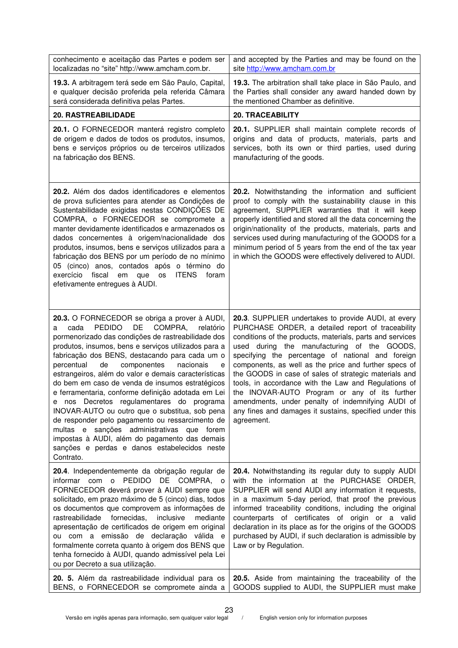| conhecimento e aceitação das Partes e podem ser                                                                                                                                                                                                                                                                                                                                                                                                                                                                                                                                                                                                                                                                                                                                                               | and accepted by the Parties and may be found on the                                                                                                                                                                                                                                                                                                                                                                                                                                                                                                                                                                                |
|---------------------------------------------------------------------------------------------------------------------------------------------------------------------------------------------------------------------------------------------------------------------------------------------------------------------------------------------------------------------------------------------------------------------------------------------------------------------------------------------------------------------------------------------------------------------------------------------------------------------------------------------------------------------------------------------------------------------------------------------------------------------------------------------------------------|------------------------------------------------------------------------------------------------------------------------------------------------------------------------------------------------------------------------------------------------------------------------------------------------------------------------------------------------------------------------------------------------------------------------------------------------------------------------------------------------------------------------------------------------------------------------------------------------------------------------------------|
| localizadas no "site" http://www.amcham.com.br.                                                                                                                                                                                                                                                                                                                                                                                                                                                                                                                                                                                                                                                                                                                                                               | site http://www.amcham.com.br                                                                                                                                                                                                                                                                                                                                                                                                                                                                                                                                                                                                      |
| 19.3. A arbitragem terá sede em São Paulo, Capital,                                                                                                                                                                                                                                                                                                                                                                                                                                                                                                                                                                                                                                                                                                                                                           | 19.3. The arbitration shall take place in São Paulo, and                                                                                                                                                                                                                                                                                                                                                                                                                                                                                                                                                                           |
| e qualquer decisão proferida pela referida Câmara                                                                                                                                                                                                                                                                                                                                                                                                                                                                                                                                                                                                                                                                                                                                                             | the Parties shall consider any award handed down by                                                                                                                                                                                                                                                                                                                                                                                                                                                                                                                                                                                |
| será considerada definitiva pelas Partes.                                                                                                                                                                                                                                                                                                                                                                                                                                                                                                                                                                                                                                                                                                                                                                     | the mentioned Chamber as definitive.                                                                                                                                                                                                                                                                                                                                                                                                                                                                                                                                                                                               |
| 20. RASTREABILIDADE                                                                                                                                                                                                                                                                                                                                                                                                                                                                                                                                                                                                                                                                                                                                                                                           | <b>20. TRACEABILITY</b>                                                                                                                                                                                                                                                                                                                                                                                                                                                                                                                                                                                                            |
| 20.1. O FORNECEDOR manterá registro completo                                                                                                                                                                                                                                                                                                                                                                                                                                                                                                                                                                                                                                                                                                                                                                  | 20.1. SUPPLIER shall maintain complete records of                                                                                                                                                                                                                                                                                                                                                                                                                                                                                                                                                                                  |
| de origem e dados de todos os produtos, insumos,                                                                                                                                                                                                                                                                                                                                                                                                                                                                                                                                                                                                                                                                                                                                                              | origins and data of products, materials, parts and                                                                                                                                                                                                                                                                                                                                                                                                                                                                                                                                                                                 |
| bens e serviços próprios ou de terceiros utilizados                                                                                                                                                                                                                                                                                                                                                                                                                                                                                                                                                                                                                                                                                                                                                           | services, both its own or third parties, used during                                                                                                                                                                                                                                                                                                                                                                                                                                                                                                                                                                               |
| na fabricação dos BENS.                                                                                                                                                                                                                                                                                                                                                                                                                                                                                                                                                                                                                                                                                                                                                                                       | manufacturing of the goods.                                                                                                                                                                                                                                                                                                                                                                                                                                                                                                                                                                                                        |
| 20.2. Além dos dados identificadores e elementos<br>de prova suficientes para atender as Condições de<br>Sustentabilidade exigidas nestas CONDIÇÕES DE<br>COMPRA, o FORNECEDOR se compromete a<br>manter devidamente identificados e armazenados os<br>dados concernentes à origem/nacionalidade dos<br>produtos, insumos, bens e serviços utilizados para a<br>fabricação dos BENS por um período de no mínimo<br>05 (cinco) anos, contados após o término do<br>exercício<br>fiscal<br><b>ITENS</b><br>foram<br>em<br>que<br>os<br>efetivamente entregues à AUDI.                                                                                                                                                                                                                                           | 20.2. Notwithstanding the information and sufficient<br>proof to comply with the sustainability clause in this<br>agreement, SUPPLIER warranties that it will keep<br>properly identified and stored all the data concerning the<br>origin/nationality of the products, materials, parts and<br>services used during manufacturing of the GOODS for a<br>minimum period of 5 years from the end of the tax year<br>in which the GOODS were effectively delivered to AUDI.                                                                                                                                                          |
| 20.3. O FORNECEDOR se obriga a prover à AUDI,<br><b>PEDIDO</b><br>DE<br>COMPRA,<br>cada<br>relatório<br>a<br>pormenorizado das condições de rastreabilidade dos<br>produtos, insumos, bens e serviços utilizados para a<br>fabricação dos BENS, destacando para cada um o<br>de<br>componentes<br>percentual<br>nacionais<br>e<br>estrangeiros, além do valor e demais características<br>do bem em caso de venda de insumos estratégicos<br>e ferramentaria, conforme definição adotada em Lei<br>e nos Decretos regulamentares do programa<br>INOVAR-AUTO ou outro que o substitua, sob pena<br>de responder pelo pagamento ou ressarcimento de<br>multas e sanções administrativas que forem<br>impostas à AUDI, além do pagamento das demais<br>sanções e perdas e danos estabelecidos neste<br>Contrato. | 20.3. SUPPLIER undertakes to provide AUDI, at every<br>PURCHASE ORDER, a detailed report of traceability<br>conditions of the products, materials, parts and services<br>used during the manufacturing of the GOODS,<br>specifying the percentage of national and foreign<br>components, as well as the price and further specs of<br>the GOODS in case of sales of strategic materials and<br>tools, in accordance with the Law and Regulations of<br>the INOVAR-AUTO Program or any of its further<br>amendments, under penalty of indemnifying AUDI of<br>any fines and damages it sustains, specified under this<br>agreement. |
| 20.4. Independentemente da obrigação regular de<br>informar com o PEDIDO DE COMPRA, o<br>FORNECEDOR deverá prover à AUDI sempre que<br>solicitado, em prazo máximo de 5 (cinco) dias, todos<br>os documentos que comprovem as informações de<br>rastreabilidade fornecidas,<br>inclusive<br>mediante<br>apresentação de certificados de origem em original<br>ou com a emissão de declaração válida e<br>formalmente correta quanto à origem dos BENS que<br>tenha fornecido à AUDI, quando admissível pela Lei<br>ou por Decreto a sua utilização.                                                                                                                                                                                                                                                           | 20.4. Notwithstanding its regular duty to supply AUDI<br>with the information at the PURCHASE ORDER,<br>SUPPLIER will send AUDI any information it requests,<br>in a maximum 5-day period, that proof the previous<br>informed traceability conditions, including the original<br>counterparts of certificates of origin or a valid<br>declaration in its place as for the origins of the GOODS<br>purchased by AUDI, if such declaration is admissible by<br>Law or by Regulation.                                                                                                                                                |
| 20. 5. Além da rastreabilidade individual para os                                                                                                                                                                                                                                                                                                                                                                                                                                                                                                                                                                                                                                                                                                                                                             | 20.5. Aside from maintaining the traceability of the                                                                                                                                                                                                                                                                                                                                                                                                                                                                                                                                                                               |
| BENS, o FORNECEDOR se compromete ainda a                                                                                                                                                                                                                                                                                                                                                                                                                                                                                                                                                                                                                                                                                                                                                                      | GOODS supplied to AUDI, the SUPPLIER must make                                                                                                                                                                                                                                                                                                                                                                                                                                                                                                                                                                                     |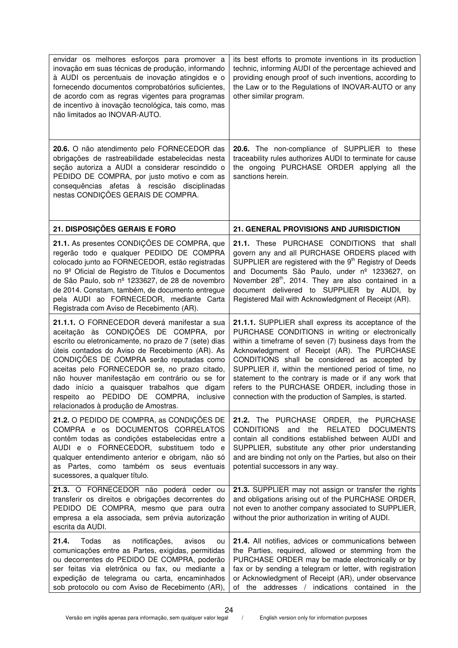| envidar os melhores esforços para promover a<br>inovação em suas técnicas de produção, informando<br>à AUDI os percentuais de inovação atingidos e o<br>fornecendo documentos comprobatórios suficientes,<br>de acordo com as regras vigentes para programas<br>de incentivo à inovação tecnológica, tais como, mas<br>não limitados ao INOVAR-AUTO.                                                                                                                              | its best efforts to promote inventions in its production<br>technic, informing AUDI of the percentage achieved and<br>providing enough proof of such inventions, according to<br>the Law or to the Regulations of INOVAR-AUTO or any<br>other similar program.                                                                                                                                                                                                                                     |
|-----------------------------------------------------------------------------------------------------------------------------------------------------------------------------------------------------------------------------------------------------------------------------------------------------------------------------------------------------------------------------------------------------------------------------------------------------------------------------------|----------------------------------------------------------------------------------------------------------------------------------------------------------------------------------------------------------------------------------------------------------------------------------------------------------------------------------------------------------------------------------------------------------------------------------------------------------------------------------------------------|
| 20.6. O não atendimento pelo FORNECEDOR das<br>obrigações de rastreabilidade estabelecidas nesta<br>seção autoriza a AUDI a considerar rescindido o<br>PEDIDO DE COMPRA, por justo motivo e com as<br>consequências afetas à rescisão disciplinadas<br>nestas CONDIÇÕES GERAIS DE COMPRA.                                                                                                                                                                                         | 20.6. The non-compliance of SUPPLIER to these<br>traceability rules authorizes AUDI to terminate for cause<br>the ongoing PURCHASE ORDER applying all the<br>sanctions herein.                                                                                                                                                                                                                                                                                                                     |
| 21. DISPOSIÇÕES GERAIS E FORO                                                                                                                                                                                                                                                                                                                                                                                                                                                     | 21. GENERAL PROVISIONS AND JURISDICTION                                                                                                                                                                                                                                                                                                                                                                                                                                                            |
| 21.1. As presentes CONDIÇÕES DE COMPRA, que<br>regerão todo e qualquer PEDIDO DE COMPRA<br>colocado junto ao FORNECEDOR, estão registradas<br>no 9º Oficial de Registro de Títulos e Documentos<br>de São Paulo, sob nº 1233627, de 28 de novembro<br>de 2014. Constam, também, de documento entregue<br>pela AUDI ao FORNECEDOR, mediante Carta<br>Registrada com Aviso de Recebimento (AR).                                                                                     | 21.1. These PURCHASE CONDITIONS that shall<br>govern any and all PURCHASE ORDERS placed with<br>SUPPLIER are registered with the 9 <sup>th</sup> Registry of Deeds<br>and Documents São Paulo, under nº 1233627, on<br>November 28 <sup>th</sup> , 2014. They are also contained in a<br>document delivered to SUPPLIER by AUDI, by<br>Registered Mail with Acknowledgment of Receipt (AR).                                                                                                        |
| 21.1.1. O FORNECEDOR deverá manifestar a sua<br>aceitação às CONDIÇÕES DE COMPRA, por<br>escrito ou eletronicamente, no prazo de 7 (sete) dias<br>úteis contados do Aviso de Recebimento (AR). As<br>CONDIÇÕES DE COMPRA serão reputadas como<br>aceitas pelo FORNECEDOR se, no prazo citado,<br>não houver manifestação em contrário ou se for<br>dado início a quaisquer trabalhos que digam<br>respeito ao PEDIDO DE COMPRA, inclusive<br>relacionados à produção de Amostras. | 21.1.1. SUPPLIER shall express its acceptance of the<br>PURCHASE CONDITIONS in writing or electronically<br>within a timeframe of seven (7) business days from the<br>Acknowledgment of Receipt (AR). The PURCHASE<br>CONDITIONS shall be considered as accepted by<br>SUPPLIER if, within the mentioned period of time, no<br>statement to the contrary is made or if any work that<br>refers to the PURCHASE ORDER, including those in<br>connection with the production of Samples, is started. |
| 21.2. O PEDIDO DE COMPRA, as CONDIÇÕES DE<br>COMPRA e os DOCUMENTOS CORRELATOS<br>contêm todas as condições estabelecidas entre a<br>AUDI e o FORNECEDOR, substituem todo e<br>qualquer entendimento anterior e obrigam, não só<br>as Partes, como também os seus eventuais<br>sucessores, a qualquer título.                                                                                                                                                                     | 21.2. The PURCHASE ORDER, the PURCHASE<br><b>CONDITIONS</b><br>and the<br><b>RELATED</b><br><b>DOCUMENTS</b><br>contain all conditions established between AUDI and<br>SUPPLIER, substitute any other prior understanding<br>and are binding not only on the Parties, but also on their<br>potential successors in any way.                                                                                                                                                                        |
| 21.3. O FORNECEDOR não poderá ceder ou<br>transferir os direitos e obrigações decorrentes do<br>PEDIDO DE COMPRA, mesmo que para outra<br>empresa a ela associada, sem prévia autorização<br>escrita da AUDI.                                                                                                                                                                                                                                                                     | 21.3. SUPPLIER may not assign or transfer the rights<br>and obligations arising out of the PURCHASE ORDER,<br>not even to another company associated to SUPPLIER,<br>without the prior authorization in writing of AUDI.                                                                                                                                                                                                                                                                           |
| 21.4.<br>Todas<br>notificações,<br>as<br>avisos<br>ou<br>comunicações entre as Partes, exigidas, permitidas<br>ou decorrentes do PEDIDO DE COMPRA, poderão<br>ser feitas via eletrônica ou fax, ou mediante a<br>expedição de telegrama ou carta, encaminhados<br>sob protocolo ou com Aviso de Recebimento (AR),                                                                                                                                                                 | 21.4. All notifies, advices or communications between<br>the Parties, required, allowed or stemming from the<br>PURCHASE ORDER may be made electronically or by<br>fax or by sending a telegram or letter, with registration<br>or Acknowledgment of Receipt (AR), under observance<br>of the addresses / indications contained in the                                                                                                                                                             |